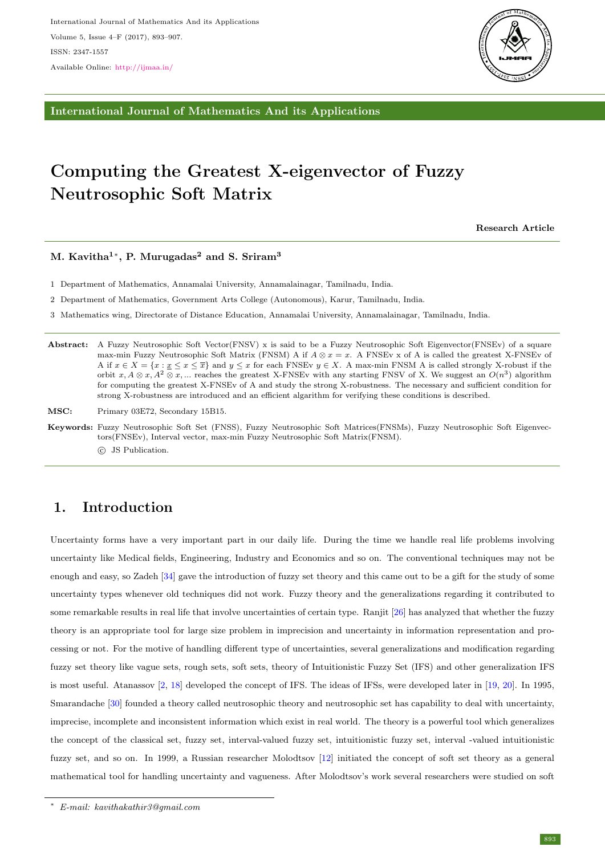

International Journal of Mathematics And its Applications

# Computing the Greatest X-eigenvector of Fuzzy Neutrosophic Soft Matrix

Research Article

### M. Kavitha $^{1*}$ , P. Murugadas $^{2}$  and S. Sriram $^{3}$

1 Department of Mathematics, Annamalai University, Annamalainagar, Tamilnadu, India.

2 Department of Mathematics, Government Arts College (Autonomous), Karur, Tamilnadu, India.

3 Mathematics wing, Directorate of Distance Education, Annamalai University, Annamalainagar, Tamilnadu, India.

Abstract: A Fuzzy Neutrosophic Soft Vector(FNSV) x is said to be a Fuzzy Neutrosophic Soft Eigenvector(FNSEv) of a square max-min Fuzzy Neutrosophic Soft Matrix (FNSM) A if  $A \otimes x = x$ . A FNSEv x of A is called the greatest X-FNSEv of A if  $x \in X = \{x : \underline{x} \leq x \leq \overline{x}\}$  and  $y \leq x$  for each FNSEv  $y \in X$ . A max-min FNSM A is called strongly X-robust if the orbit  $x, A \otimes x, A^2 \otimes x, ...$  reaches the greatest X-FNSEv with any starting FNSV of X. We suggest an  $O(n^3)$  algorithm for computing the greatest X-FNSEv of A and study the strong X-robustness. The necessary and sufficient condition for strong X-robustness are introduced and an efficient algarithm for verifying these conditions is described.

MSC: Primary 03E72, Secondary 15B15.

Keywords: Fuzzy Neutrosophic Soft Set (FNSS), Fuzzy Neutrosophic Soft Matrices(FNSMs), Fuzzy Neutrosophic Soft Eigenvectors(FNSEv), Interval vector, max-min Fuzzy Neutrosophic Soft Matrix(FNSM). c JS Publication.

# 1. Introduction

Uncertainty forms have a very important part in our daily life. During the time we handle real life problems involving uncertainty like Medical fields, Engineering, Industry and Economics and so on. The conventional techniques may not be enough and easy, so Zadeh [\[34\]](#page-14-0) gave the introduction of fuzzy set theory and this came out to be a gift for the study of some uncertainty types whenever old techniques did not work. Fuzzy theory and the generalizations regarding it contributed to some remarkable results in real life that involve uncertainties of certain type. Ranjit [\[26\]](#page-13-0) has analyzed that whether the fuzzy theory is an appropriate tool for large size problem in imprecision and uncertainty in information representation and processing or not. For the motive of handling different type of uncertainties, several generalizations and modification regarding fuzzy set theory like vague sets, rough sets, soft sets, theory of Intuitionistic Fuzzy Set (IFS) and other generalization IFS is most useful. Atanassov [\[2,](#page-13-1) [18\]](#page-13-2) developed the concept of IFS. The ideas of IFSs, were developed later in [\[19,](#page-13-3) [20\]](#page-13-4). In 1995, Smarandache [\[30\]](#page-14-1) founded a theory called neutrosophic theory and neutrosophic set has capability to deal with uncertainty, imprecise, incomplete and inconsistent information which exist in real world. The theory is a powerful tool which generalizes the concept of the classical set, fuzzy set, interval-valued fuzzy set, intuitionistic fuzzy set, interval -valued intuitionistic fuzzy set, and so on. In 1999, a Russian researcher Molodtsov [\[12\]](#page-13-5) initiated the concept of soft set theory as a general mathematical tool for handling uncertainty and vagueness. After Molodtsov's work several researchers were studied on soft

<sup>∗</sup> E-mail: kavithakathir3@gmail.com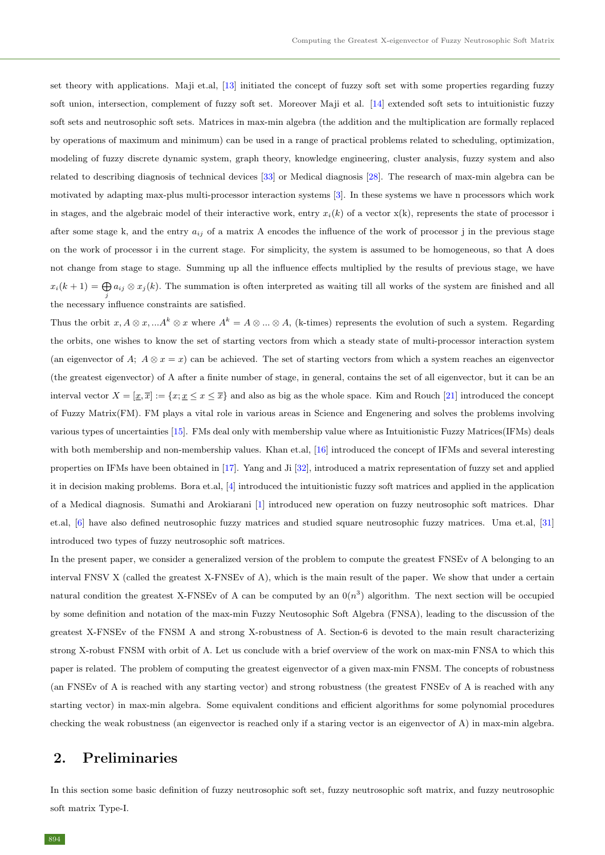set theory with applications. Maji et.al, [\[13\]](#page-13-6) initiated the concept of fuzzy soft set with some properties regarding fuzzy soft union, intersection, complement of fuzzy soft set. Moreover Maji et al. [\[14\]](#page-13-7) extended soft sets to intuitionistic fuzzy soft sets and neutrosophic soft sets. Matrices in max-min algebra (the addition and the multiplication are formally replaced by operations of maximum and minimum) can be used in a range of practical problems related to scheduling, optimization, modeling of fuzzy discrete dynamic system, graph theory, knowledge engineering, cluster analysis, fuzzy system and also related to describing diagnosis of technical devices [\[33\]](#page-14-2) or Medical diagnosis [\[28\]](#page-14-3). The research of max-min algebra can be motivated by adapting max-plus multi-processor interaction systems [\[3\]](#page-13-8). In these systems we have n processors which work in stages, and the algebraic model of their interactive work, entry  $x_i(k)$  of a vector  $x(k)$ , represents the state of processor i after some stage k, and the entry  $a_{ij}$  of a matrix A encodes the influence of the work of processor j in the previous stage on the work of processor i in the current stage. For simplicity, the system is assumed to be homogeneous, so that A does not change from stage to stage. Summing up all the influence effects multiplied by the results of previous stage, we have  $x_i(k+1) = \bigoplus a_{ij} \otimes x_j(k)$ . The summation is often interpreted as waiting till all works of the system are finished and all j the necessary influence constraints are satisfied.

Thus the orbit  $x, A \otimes x, \dots A^k \otimes x$  where  $A^k = A \otimes \dots \otimes A$ , (k-times) represents the evolution of such a system. Regarding the orbits, one wishes to know the set of starting vectors from which a steady state of multi-processor interaction system (an eigenvector of A;  $A \otimes x = x$ ) can be achieved. The set of starting vectors from which a system reaches an eigenvector (the greatest eigenvector) of A after a finite number of stage, in general, contains the set of all eigenvector, but it can be an interval vector  $X = [\underline{x}, \overline{x}] := \{x; \underline{x} \le x \le \overline{x}\}\$ and also as big as the whole space. Kim and Rouch [\[21\]](#page-13-9) introduced the concept of Fuzzy Matrix(FM). FM plays a vital role in various areas in Science and Engenering and solves the problems involving various types of uncertainties [\[15\]](#page-13-10). FMs deal only with membership value where as Intuitionistic Fuzzy Matrices(IFMs) deals with both membership and non-membership values. Khan et.al, [\[16\]](#page-13-11) introduced the concept of IFMs and several interesting properties on IFMs have been obtained in [\[17\]](#page-13-12). Yang and Ji [\[32\]](#page-14-4), introduced a matrix representation of fuzzy set and applied it in decision making problems. Bora et.al, [\[4\]](#page-13-13) introduced the intuitionistic fuzzy soft matrices and applied in the application of a Medical diagnosis. Sumathi and Arokiarani [\[1\]](#page-13-14) introduced new operation on fuzzy neutrosophic soft matrices. Dhar et.al, [\[6\]](#page-13-15) have also defined neutrosophic fuzzy matrices and studied square neutrosophic fuzzy matrices. Uma et.al, [\[31\]](#page-14-5) introduced two types of fuzzy neutrosophic soft matrices.

In the present paper, we consider a generalized version of the problem to compute the greatest FNSEv of A belonging to an interval FNSV X (called the greatest X-FNSEv of A), which is the main result of the paper. We show that under a certain natural condition the greatest X-FNSEv of A can be computed by an  $0(n^3)$  algorithm. The next section will be occupied by some definition and notation of the max-min Fuzzy Neutosophic Soft Algebra (FNSA), leading to the discussion of the greatest X-FNSEv of the FNSM A and strong X-robustness of A. Section-6 is devoted to the main result characterizing strong X-robust FNSM with orbit of A. Let us conclude with a brief overview of the work on max-min FNSA to which this paper is related. The problem of computing the greatest eigenvector of a given max-min FNSM. The concepts of robustness (an FNSEv of A is reached with any starting vector) and strong robustness (the greatest FNSEv of A is reached with any starting vector) in max-min algebra. Some equivalent conditions and efficient algorithms for some polynomial procedures checking the weak robustness (an eigenvector is reached only if a staring vector is an eigenvector of A) in max-min algebra.

### 2. Preliminaries

In this section some basic definition of fuzzy neutrosophic soft set, fuzzy neutrosophic soft matrix, and fuzzy neutrosophic soft matrix Type-I.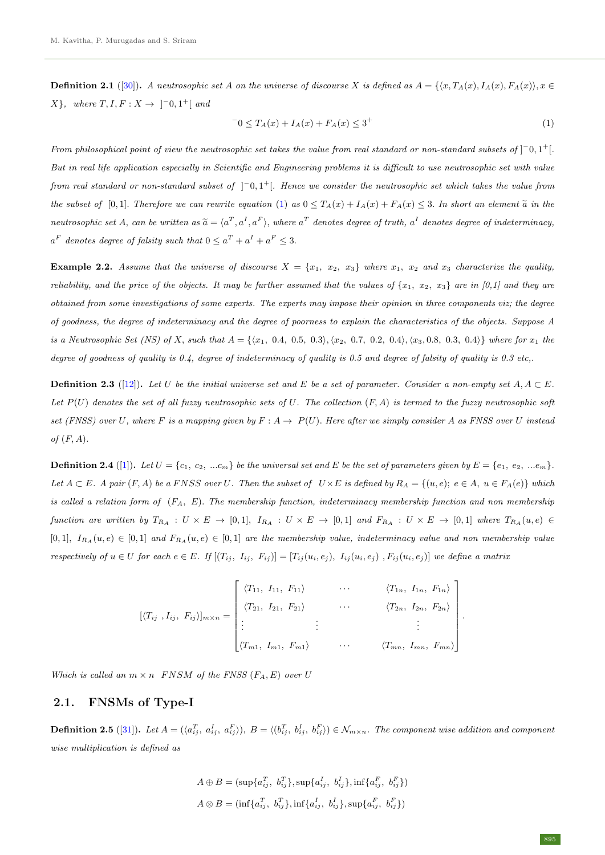**Definition 2.1** ([\[30\]](#page-14-1)). A neutrosophic set A on the universe of discourse X is defined as  $A = \{\langle x, T_A(x), I_A(x), F_A(x) \rangle, x \in$  $X$ , where  $T, I, F: X \rightarrow \begin{bmatrix} -0, 1^+ \end{bmatrix}$  and

<span id="page-2-0"></span>
$$
{}^{-}0 \leq T_A(x) + I_A(x) + F_A(x) \leq 3^{+}
$$
\n(1)

From philosophical point of view the neutrosophic set takes the value from real standard or non-standard subsets of  $[-0,1+$ . But in real life application especially in Scientific and Engineering problems it is difficult to use neutrosophic set with value from real standard or non-standard subset of  $\vert \bar{ }^{-0}$ , 1<sup>+</sup>[. Hence we consider the neutrosophic set which takes the value from the subset of [0,1]. Therefore we can rewrite equation [\(1\)](#page-2-0) as  $0 \leq T_A(x) + I_A(x) + F_A(x) \leq 3$ . In short an element  $\tilde{a}$  in the neutrosophic set A, can be written as  $\widetilde{a} = \langle a^T, a^I, a^F \rangle$ , where  $a^T$  denotes degree of truth,  $a^I$  denotes degree of indeterminacy,  $a^F$  denotes degree of falsity such that  $0 \le a^T + a^I + a^F \le 3$ .

**Example 2.2.** Assume that the universe of discourse  $X = \{x_1, x_2, x_3\}$  where  $x_1, x_2$  and  $x_3$  characterize the quality, reliability, and the price of the objects. It may be further assumed that the values of  $\{x_1, x_2, x_3\}$  are in [0,1] and they are obtained from some investigations of some experts. The experts may impose their opinion in three components viz; the degree of goodness, the degree of indeterminacy and the degree of poorness to explain the characteristics of the objects. Suppose A is a Neutrosophic Set (NS) of X, such that  $A = \{\langle x_1, 0.4, 0.5, 0.3 \rangle, \langle x_2, 0.7, 0.2, 0.4 \rangle, \langle x_3, 0.8, 0.3, 0.4 \rangle\}$  where for  $x_1$  the degree of goodness of quality is 0.4, degree of indeterminacy of quality is 0.5 and degree of falsity of quality is 0.3 etc,.

**Definition 2.3** ([\[12\]](#page-13-5)). Let U be the initial universe set and E be a set of parameter. Consider a non-empty set  $A, A \subseteq E$ . Let  $P(U)$  denotes the set of all fuzzy neutrosophic sets of U. The collection  $(F, A)$  is termed to the fuzzy neutrosophic soft set (FNSS) over U, where F is a mapping given by  $F: A \to P(U)$ . Here after we simply consider A as FNSS over U instead of  $(F, A)$ .

**Definition 2.4** ([\[1\]](#page-13-14)). Let  $U = \{c_1, c_2, ... c_m\}$  be the universal set and E be the set of parameters given by  $E = \{e_1, e_2, ... e_m\}$ . Let  $A \subset E$ . A pair  $(F, A)$  be a FNSS over U. Then the subset of  $U \times E$  is defined by  $R_A = \{(u, e); e \in A, u \in F_A(e)\}$  which is called a relation form of  $(F_A, E)$ . The membership function, indeterminacy membership function and non membership function are written by  $T_{R_A} : U \times E \to [0,1], I_{R_A} : U \times E \to [0,1]$  and  $F_{R_A} : U \times E \to [0,1]$  where  $T_{R_A}(u,e) \in$ [0, 1],  $I_{R_A}(u, e) \in [0, 1]$  and  $F_{R_A}(u, e) \in [0, 1]$  are the membership value, indeterminacy value and non membership value respectively of  $u \in U$  for each  $e \in E$ . If  $[(T_{ij}, I_{ij}, F_{ij})] = [T_{ij}(u_i, e_j), I_{ij}(u_i, e_j), F_{ij}(u_i, e_j)]$  we define a matrix

$$
[\langle T_{ij}, I_{ij}, F_{ij} \rangle]_{m \times n} = \begin{bmatrix} \langle T_{11}, I_{11}, F_{11} \rangle & \cdots & \langle T_{1n}, I_{1n}, F_{1n} \rangle \\ \langle T_{21}, I_{21}, F_{21} \rangle & \cdots & \langle T_{2n}, I_{2n}, F_{2n} \rangle \\ \vdots & \vdots & \ddots & \vdots \\ \langle T_{m1}, I_{m1}, F_{m1} \rangle & \cdots & \langle T_{mn}, I_{mn}, F_{mn} \rangle \end{bmatrix}
$$

Which is called an  $m \times n$  FNSM of the FNSS (F<sub>A</sub>, E) over U

### 2.1. FNSMs of Type-I

**Definition 2.5** ([\[31\]](#page-14-5)). Let  $A = (\langle a_{ij}^T, a_{ij}^I, a_{ij}^F \rangle), B = \langle (b_{ij}^T, b_{ij}^I, b_{ij}^F \rangle) \in \mathcal{N}_{m \times n}$ . The component wise addition and component wise multiplication is defined as

$$
A \oplus B = (\sup \{a_{ij}^T, b_{ij}^T\}, \sup \{a_{ij}^I, b_{ij}^I\}, \inf \{a_{ij}^F, b_{ij}^F\})
$$
  

$$
A \otimes B = (\inf \{a_{ij}^T, b_{ij}^T\}, \inf \{a_{ij}^I, b_{ij}^I\}, \sup \{a_{ij}^F, b_{ij}^F\})
$$

.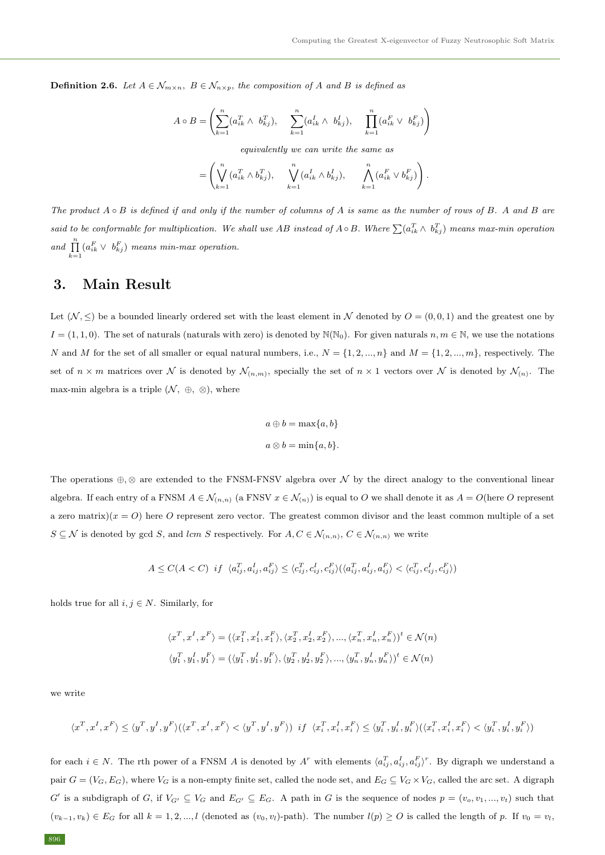**Definition 2.6.** Let  $A \in \mathcal{N}_{m \times n}$ ,  $B \in \mathcal{N}_{n \times p}$ , the composition of A and B is defined as

$$
A \circ B = \left( \sum_{k=1}^{n} (a_{ik}^{T} \wedge b_{kj}^{T}), \sum_{k=1}^{n} (a_{ik}^{I} \wedge b_{kj}^{I}), \prod_{k=1}^{n} (a_{ik}^{F} \vee b_{kj}^{F}) \right)
$$

equivalently we can write the same as

$$
= \left(\bigvee_{k=1}^n (a_{ik}^T \wedge b_{kj}^T), \bigvee_{k=1}^n (a_{ik}^I \wedge b_{kj}^I), \bigvee_{k=1}^n (a_{ik}^F \vee b_{kj}^F)\right).
$$

The product  $A \circ B$  is defined if and only if the number of columns of A is same as the number of rows of B. A and B are said to be conformable for multiplication. We shall use AB instead of  $A \circ B$ . Where  $\sum (a_{ik}^T \wedge b_{kj}^T)$  means max-min operation and  $\prod_{k=1}^{n} (a_{ik}^F \vee b_{kj}^F)$  means min-max operation.

## 3. Main Result

Let  $(N, \leq)$  be a bounded linearly ordered set with the least element in N denoted by  $O = (0, 0, 1)$  and the greatest one by  $I = (1, 1, 0)$ . The set of naturals (naturals with zero) is denoted by  $\mathbb{N}(\mathbb{N}_0)$ . For given naturals  $n, m \in \mathbb{N}$ , we use the notations N and M for the set of all smaller or equal natural numbers, i.e.,  $N = \{1, 2, ..., n\}$  and  $M = \{1, 2, ..., m\}$ , respectively. The set of  $n \times m$  matrices over N is denoted by  $\mathcal{N}_{(n,m)}$ , specially the set of  $n \times 1$  vectors over N is denoted by  $\mathcal{N}_{(n)}$ . The max-min algebra is a triple  $(\mathcal{N}, \oplus, \otimes)$ , where

$$
a \oplus b = \max\{a, b\}
$$

$$
a \otimes b = \min\{a, b\}.
$$

The operations  $\oplus$ ,  $\otimes$  are extended to the FNSM-FNSV algebra over N by the direct analogy to the conventional linear algebra. If each entry of a FNSM  $A \in \mathcal{N}_{(n,n)}$  (a FNSV  $x \in \mathcal{N}_{(n)}$ ) is equal to O we shall denote it as  $A = O(\text{here } O \text{ represent } O)$ a zero matrix) $(x = 0)$  here O represent zero vector. The greatest common divisor and the least common multiple of a set  $S \subseteq \mathcal{N}$  is denoted by gcd S, and lcm S respectively. For  $A, C \in \mathcal{N}_{(n,n)}$ ,  $C \in \mathcal{N}_{(n,n)}$  we write

$$
A \leq C(A < C) \hspace{2mm} if \hspace{2mm} \langle a_{ij}^T, a_{ij}^I, a_{ij}^F \rangle \leq \langle c_{ij}^T, c_{ij}^I, c_{ij}^F \rangle (\langle a_{ij}^T, a_{ij}^I, a_{ij}^F \rangle < \langle c_{ij}^T, c_{ij}^I, c_{ij}^F \rangle)
$$

holds true for all  $i, j \in N$ . Similarly, for

$$
\begin{aligned} &\langle x^T,x^I,x^F\rangle=(\langle x_1^T,x_1^I,x_1^F\rangle,\langle x_2^T,x_2^I,x_2^F\rangle,...,\langle x_n^T,x_n^I,x_n^F\rangle)^t\in\mathcal{N}(n)\\ &\langle y_1^T,y_1^I,y_1^F\rangle=(\langle y_1^T,y_1^I,y_1^F\rangle,\langle y_2^T,y_2^I,y_2^F\rangle,...,\langle y_n^T,y_n^I,y_n^F\rangle)^t\in\mathcal{N}(n) \end{aligned}
$$

we write

$$
\langle x^T,x^I,x^F\rangle\leq\langle y^T,y^I,y^F\rangle(\langle x^T,x^I,x^F\rangle<\langle y^T,y^I,y^F\rangle)\ \ if\ \ \langle x^T_i,x^I_i,x^F_i\rangle\leq\langle y^T_i,y^I_i,y^F_i\rangle(\langle x^T_i,x^I_i,x^F_i\rangle<\langle y^T_i,y^I_i,y^F_i\rangle)
$$

for each  $i \in N$ . The rth power of a FNSM A is denoted by  $A^r$  with elements  $\langle a_{ij}^T, a_{ij}^I, a_{ij}^F \rangle^r$ . By digraph we understand a pair  $G = (V_G, E_G)$ , where  $V_G$  is a non-empty finite set, called the node set, and  $E_G \subseteq V_G \times V_G$ , called the arc set. A digraph  $G'$  is a subdigraph of G, if  $V_{G'} \subseteq V_G$  and  $E_{G'} \subseteq E_G$ . A path in G is the sequence of nodes  $p = (v_o, v_1, ..., v_t)$  such that  $(v_{k-1}, v_k) \in E_G$  for all  $k = 1, 2, ..., l$  (denoted as  $(v_0, v_l)$ -path). The number  $l(p) \geq O$  is called the length of p. If  $v_0 = v_l$ ,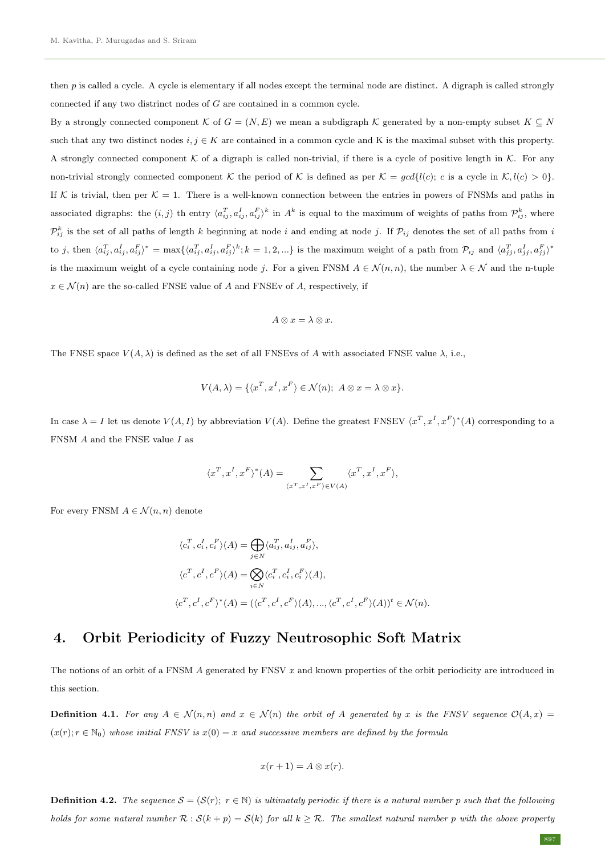then  $p$  is called a cycle. A cycle is elementary if all nodes except the terminal node are distinct. A digraph is called strongly connected if any two distrinct nodes of G are contained in a common cycle.

By a strongly connected component K of  $G = (N, E)$  we mean a subdigraph K generated by a non-empty subset  $K \subseteq N$ such that any two distinct nodes  $i, j \in K$  are contained in a common cycle and K is the maximal subset with this property. A strongly connected component K of a digraph is called non-trivial, if there is a cycle of positive length in K. For any non-trivial strongly connected component K the period of K is defined as per  $\mathcal{K} = \text{gcd}\{l(c); c$  is a cycle in  $\mathcal{K}, l(c) > 0\}$ . If K is trivial, then per  $K = 1$ . There is a well-known connection between the entries in powers of FNSMs and paths in associated digraphs: the  $(i, j)$  th entry  $\langle a_{ij}^T, a_{ij}^I, a_{ij}^F \rangle^k$  in  $A^k$  is equal to the maximum of weights of paths from  $\mathcal{P}_{ij}^k$ , where  $\mathcal{P}_{ij}^k$  is the set of all paths of length k beginning at node i and ending at node j. If  $\mathcal{P}_{ij}$  denotes the set of all paths from i to j, then  $\langle a_{ij}^T, a_{ij}^I, a_{ij}^F \rangle^* = \max \{ \langle a_{ij}^T, a_{ij}^I, a_{ij}^F \rangle^k; k = 1, 2, ...\}$  is the maximum weight of a path from  $\mathcal{P}_{ij}$  and  $\langle a_{jj}^T, a_{jj}^I, a_{jj}^F \rangle^*$ is the maximum weight of a cycle containing node j. For a given FNSM  $A \in \mathcal{N}(n,n)$ , the number  $\lambda \in \mathcal{N}$  and the n-tuple  $x \in \mathcal{N}(n)$  are the so-called FNSE value of A and FNSEv of A, respectively, if

$$
A\otimes x=\lambda\otimes x.
$$

The FNSE space  $V(A, \lambda)$  is defined as the set of all FNSEvs of A with associated FNSE value  $\lambda$ , i.e.,

$$
V(A, \lambda) = \{ \langle x^T, x^I, x^F \rangle \in \mathcal{N}(n); A \otimes x = \lambda \otimes x \}.
$$

In case  $\lambda = I$  let us denote  $V(A, I)$  by abbreviation  $V(A)$ . Define the greatest FNSEV  $\langle x^T, x^I, x^F \rangle^*(A)$  corresponding to a FNSM  $A$  and the FNSE value  $I$  as

$$
\langle x^T, x^I, x^F \rangle^* (A) = \sum_{\langle x^T, x^I, x^F \rangle \in V(A)} \langle x^T, x^I, x^F \rangle,
$$

For every FNSM  $A \in \mathcal{N}(n, n)$  denote

$$
\langle c_i^T, c_i^I, c_i^F \rangle (A) = \bigoplus_{j \in N} \langle a_{ij}^T, a_{ij}^I, a_{ij}^F \rangle,
$$
  

$$
\langle c^T, c^I, c^F \rangle (A) = \bigotimes_{i \in N} \langle c_i^T, c_i^I, c_i^F \rangle (A),
$$
  

$$
\langle c^T, c^I, c^F \rangle^* (A) = (\langle c^T, c^I, c^F \rangle (A), ..., \langle c^T, c^I, c^F \rangle (A))^t \in \mathcal{N}(n).
$$

### 4. Orbit Periodicity of Fuzzy Neutrosophic Soft Matrix

The notions of an orbit of a FNSM  $\ddot{A}$  generated by FNSV  $x$  and known properties of the orbit periodicity are introduced in this section.

**Definition 4.1.** For any  $A \in \mathcal{N}(n,n)$  and  $x \in \mathcal{N}(n)$  the orbit of A generated by x is the FNSV sequence  $\mathcal{O}(A,x)$  $(x(r); r \in \mathbb{N}_0)$  whose initial FNSV is  $x(0) = x$  and successive members are defined by the formula

$$
x(r+1) = A \otimes x(r).
$$

**Definition 4.2.** The sequence  $\mathcal{S} = (\mathcal{S}(r); r \in \mathbb{N})$  is ultimataly periodic if there is a natural number p such that the following holds for some natural number  $\mathcal{R}: \mathcal{S}(k+p) = \mathcal{S}(k)$  for all  $k \geq \mathcal{R}$ . The smallest natural number p with the above property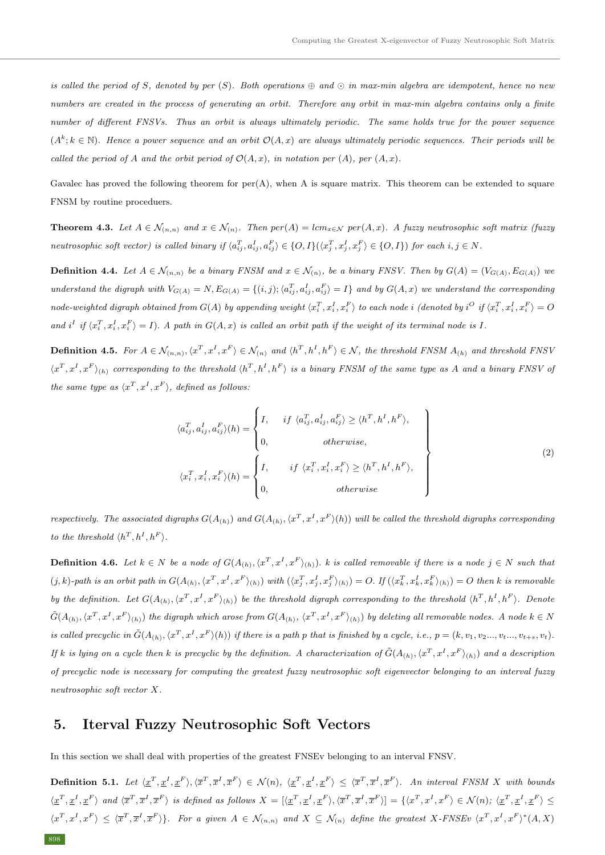is called the period of S, denoted by per  $(S)$ . Both operations  $\oplus$  and  $\odot$  in max-min algebra are idempotent, hence no new numbers are created in the process of generating an orbit. Therefore any orbit in max-min algebra contains only a finite number of different FNSVs. Thus an orbit is always ultimately periodic. The same holds true for the power sequence  $(A^k; k \in \mathbb{N})$ . Hence a power sequence and an orbit  $\mathcal{O}(A,x)$  are always ultimately periodic sequences. Their periods will be called the period of A and the orbit period of  $\mathcal{O}(A, x)$ , in notation per  $(A)$ , per  $(A, x)$ .

Gavalec has proved the following theorem for per(A), when A is square matrix. This theorem can be extended to square FNSM by routine proceduers.

**Theorem 4.3.** Let  $A \in \mathcal{N}_{(n,n)}$  and  $x \in \mathcal{N}_{(n)}$ . Then  $per(A) = lcm_{x \in \mathcal{N}} per(A,x)$ . A fuzzy neutrosophic soft matrix (fuzzy neutrosophic soft vector) is called binary if  $\langle a_{ij}^T, a_{ij}^I, a_{ij}^F \rangle \in \{O, I\}(\langle x_j^T, x_j^I, x_j^F \rangle \in \{O, I\})$  for each  $i, j \in N$ .

**Definition 4.4.** Let  $A \in \mathcal{N}_{(n,n)}$  be a binary FNSM and  $x \in \mathcal{N}_{(n)}$ , be a binary FNSV. Then by  $G(A) = (V_{G(A)}, E_{G(A)})$  we understand the digraph with  $V_{G(A)} = N$ ,  $E_{G(A)} = \{(i,j); \langle a_{ij}^T, a_{ij}^I, a_{ij}^F \rangle = I\}$  and by  $G(A, x)$  we understand the corresponding node-weighted digraph obtained from  $G(A)$  by appending weight  $\langle x^T_i,x^I_i,x^F_i\rangle$  to each node  $i$  (denoted by  $i^O$  if  $\langle x^T_i,x^I_i,x^F_i\rangle=O$ and i<sup>I</sup> if  $\langle x_i^T, x_i^I, x_i^F \rangle = I$ ). A path in  $G(A, x)$  is called an orbit path if the weight of its terminal node is I.

**Definition 4.5.** For  $A \in \mathcal{N}_{(n,n)}, \langle x^T, x^I, x^F \rangle \in \mathcal{N}_{(n)}$  and  $\langle h^T, h^I, h^F \rangle \in \mathcal{N}$ , the threshold FNSM  $A_{(h)}$  and threshold FNSV  $\langle x^T, x^I, x^F \rangle_{(h)}$  corresponding to the threshold  $\langle h^T, h^I, h^F \rangle$  is a binary FNSM of the same type as A and a binary FNSV of the same type as  $\langle x^T, x^I, x^F \rangle$ , defined as follows:

$$
\langle a_{ij}^T, a_{ij}^I, a_{ij}^F \rangle(h) = \begin{cases} I, & if \langle a_{ij}^T, a_{ij}^I, a_{ij}^F \rangle \ge \langle h^T, h^I, h^F \rangle, \\ 0, & otherwise, \\ 0, & otherwise, \end{cases}
$$
\n
$$
\langle x_i^T, x_i^I, x_i^F \rangle(h) = \begin{cases} I, & if \langle x_i^T, x_i^I, x_i^F \rangle \ge \langle h^T, h^I, h^F \rangle, \\ 0, & otherwise \end{cases}
$$
\n(2)

respectively. The associated digraphs  $G(A_{(h)})$  and  $G(A_{(h)},\langle x^T, x^I, x^F \rangle(h))$  will be called the threshold digraphs corresponding to the threshold  $\langle h^T, h^I, h^F \rangle$ .

**Definition 4.6.** Let  $k \in N$  be a node of  $G(A_{(h)}, \langle x^T, x^I, x^F \rangle_{(h)})$ . k is called removable if there is a node  $j \in N$  such that  $(j,k)$ -path is an orbit path in  $G(A_{(h)}, \langle x^T, x^I, x^F \rangle_{(h)})$  with  $(\langle x_j^T, x_j^I, x_j^F \rangle_{(h)}) = O$ . If  $(\langle x_k^T, x_k^I, x_k^F \rangle_{(h)}) = O$  then k is removable by the definition. Let  $G(A_{(h)}, \langle x^T, x^I, x^F \rangle_{(h)})$  be the threshold digraph corresponding to the threshold  $\langle h^T, h^I, h^F \rangle$ . Denote  $\tilde{G}(A_{(h)},\langle x^T, x^I, x^F\rangle_{(h)})$  the digraph which arose from  $G(A_{(h)},\langle x^T, x^I, x^F\rangle_{(h)})$  by deleting all removable nodes. A node  $k\in N$ is called precyclic in  $\tilde{G}(A_{(h)},\langle x^T, x^I, x^F \rangle(h))$  if there is a path p that is finished by a cycle, i.e.,  $p = (k, v_1, v_2..., v_t..., v_{t+s}, v_t)$ . If k is lying on a cycle then k is precyclic by the definition. A characterization of  $\tilde{G}(A_{(h)},\langle x^T, x^I, x^F \rangle_{(h)})$  and a description of precyclic node is necessary for computing the greatest fuzzy neutrosophic soft eigenvector belonging to an interval fuzzy neutrosophic soft vector X.

### 5. Iterval Fuzzy Neutrosophic Soft Vectors

In this section we shall deal with properties of the greatest FNSEv belonging to an interval FNSV.

**Definition 5.1.** Let  $\langle \underline{x}^T, \underline{x}^I, \underline{x}^F \rangle, \langle \overline{x}^T, \overline{x}^I, \overline{x}^F \rangle \in \mathcal{N}(n)$ ,  $\langle \underline{x}^T, \underline{x}^I, \underline{x}^F \rangle \leq \langle \overline{x}^T, \overline{x}^I, \overline{x}^F \rangle$ . An interval FNSM X with bounds  $\langle \underline{x}^T, \underline{x}^I, \underline{x}^F \rangle$  and  $\langle \overline{x}^T, \overline{x}^I, \overline{x}^F \rangle$  is defined as follows  $X = [\langle \underline{x}^T, \underline{x}^I, \underline{x}^F \rangle, \langle \overline{x}^T, \overline{x}^I, \overline{x}^F \rangle] = \{\langle x^T, x^I, x^F \rangle \in \mathcal{N}(n); \langle \underline{x}^T, \underline{x}^I, \underline{x}^F \rangle \leq \mathcal{N}(n) \}$  $\langle x^T, x^I, x^F \rangle \leq \langle \overline{x}^T, \overline{x}^I, \overline{x}^F \rangle$ . For a given  $A \in \mathcal{N}_{(n,n)}$  and  $X \subseteq \mathcal{N}_{(n)}$  define the greatest X-FNSEv  $\langle x^T, x^I, x^F \rangle^* (A, X)$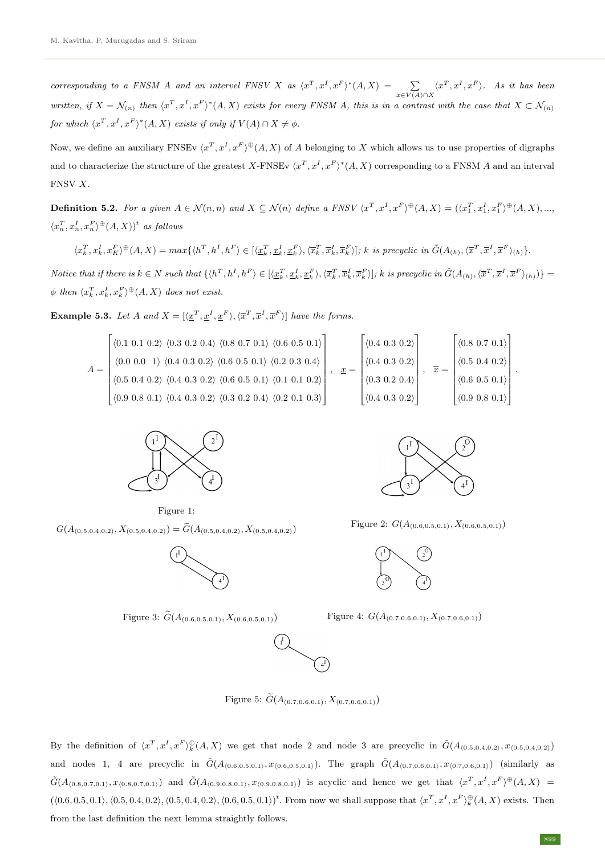corresponding to a FNSM A and an intervel FNSV X as  $\langle x^T, x^I, x^F \rangle^* (A, X) = \sum_{x \in V(A) \cap X} \langle x^T, x^I, x^F \rangle$ . As it has been written, if  $X = \mathcal{N}_{(n)}$  then  $\langle x^T, x^I, x^F \rangle^* (A, X)$  exists for every FNSM A, this is in a contrast with the case that  $X \subset \mathcal{N}_{(n)}$ for which  $\langle x^T, x^I, x^F \rangle^* (A, X)$  exists if only if  $V(A) \cap X \neq \emptyset$ .

Now, we define an auxiliary FNSEv  $\langle x^T, x^I, x^F \rangle^{\oplus}(A, X)$  of A belonging to X which allows us to use properties of digraphs and to characterize the structure of the greatest X-FNSEv  $\langle x^T, x^I, x^F \rangle^*(A, X)$  corresponding to a FNSM A and an interval FNSV X.

**Definition 5.2.** For a given  $A \in \mathcal{N}(n, n)$  and  $X \subseteq \mathcal{N}(n)$  define a FNSV  $\langle x^T, x^I, x^F \rangle \oplus (A, X) = (\langle x_1^T, x_1^I, x_1^F \rangle \oplus (A, X), ...,$  $\langle x_n^T, x_n^I, x_n^F \rangle \oplus (A, X))^t$  as follows

$$
\langle x_k^T, x_k^I, x_K^F \rangle^{\oplus}(A, X) = \max \{ \langle h^T, h^I, h^F \rangle \in [\langle \underline{x}_k^T, \underline{x}_k^I, \underline{x}_k^F \rangle, \langle \overline{x}_k^T, \overline{x}_k^I, \overline{x}_k^F \rangle]; \ k \ \text{is precyclic in} \ \tilde{G}(A_{(h)}, \langle \overline{x}^T, \overline{x}^I, \overline{x}^F \rangle_{(h)}\}.
$$

Notice that if there is  $k \in N$  such that  $\{\langle h^T, h^I, h^F \rangle \in [\langle \underline{x}_k^T, \underline{x}_k^I, \underline{x}_k^F \rangle, \langle \overline{x}_k^T, \overline{x}_k^I, \overline{x}_k^F \rangle]$ ; k is precyclic in  $\tilde{G}(A_{(h)}, \langle \overline{x}^T, \overline{x}^I, \overline{x}^F \rangle_{(h)})\}$  $\phi$  then  $\langle x_k^T, x_k^I, x_k^F \rangle \oplus (A, X)$  does not exist.

**Example 5.3.** Let A and  $X = [\langle \underline{x}^T, \underline{x}^I, \underline{x}^F \rangle, \langle \overline{x}^T, \overline{x}^I, \overline{x}^F \rangle]$  have the forms.

$$
A = \begin{bmatrix} \langle 0.1 & 0.1 & 0.2 \rangle & \langle 0.3 & 0.2 & 0.4 \rangle & \langle 0.8 & 0.7 & 0.1 \rangle & \langle 0.6 & 0.5 & 0.1 \rangle \\ \langle 0.0 & 0.0 & 1 \rangle & \langle 0.4 & 0.3 & 0.2 \rangle & \langle 0.6 & 0.5 & 0.1 \rangle & \langle 0.2 & 0.3 & 0.4 \rangle \\ \langle 0.5 & 0.4 & 0.2 \rangle & \langle 0.4 & 0.3 & 0.2 \rangle & \langle 0.6 & 0.5 & 0.1 \rangle & \langle 0.1 & 0.1 & 0.2 \rangle \\ \langle 0.9 & 0.8 & 0.1 \rangle & \langle 0.4 & 0.3 & 0.2 \rangle & \langle 0.3 & 0.2 & 0.4 \rangle & \langle 0.2 & 0.1 & 0.3 \rangle \end{bmatrix}, \quad x = \begin{bmatrix} \langle 0.4 & 0.3 & 0.2 \rangle \\ \langle 0.4 & 0.3 & 0.2 \rangle \\ \langle 0.4 & 0.3 & 0.2 \rangle \\ \langle 0.4 & 0.3 & 0.2 \rangle \end{bmatrix}, \quad \overline{x} = \begin{bmatrix} \langle 0.8 & 0.7 & 0.1 \rangle \\ \langle 0.5 & 0.4 & 0.2 \rangle \\ \langle 0.6 & 0.5 & 0.1 \rangle \\ \langle 0.9 & 0.8 & 0.1 \rangle \end{bmatrix}.
$$



Figure 1:

 $G(A_{(0.5,0.4,0.2)}, X_{(0.5,0.4,0.2)}) = \widetilde{G}(A_{(0.5,0.4,0.2)}, X_{(0.5,0.4,0.2)})$ 





Figure 2:  $G(A_{(0.6,0.5,0.1)}, X_{(0.6,0.5,0.1)})$ 



Figure 3:  $\widetilde{G}(A_{(0.6,0.5,0.1)}, X_{(0.6,0.5,0.1)})$  Figure 4:  $G(A_{(0.7,0.6,0.1)}, X_{(0.7,0.6,0.1)})$ 



Figure 5:  $\widetilde{G}(A_{(0.7,0.6,0.1)}, X_{(0.7,0.6,0.1)})$ 

By the definition of  $\langle x^T, x^I, x^F \rangle_k^{\oplus}(A, X)$  we get that node 2 and node 3 are precyclic in  $\tilde{G}(A_{(0.5,0.4,0.2)}, x_{(0.5,0.4,0.2)})$ and nodes 1, 4 are precyclic in  $\tilde{G}(A_{(0.6,0.5,0.1)}, x_{(0.6,0.5,0.1)})$ . The graph  $\tilde{G}(A_{(0.7,0.6,0.1)}, x_{(0.7,0.6,0.1)})$  (similarly as  $\tilde{G}(A_{(0.8,0.7,0.1)}, x_{(0.8,0.7,0.1)})$  and  $\tilde{G}(A_{(0.9,0.8,0.1)}, x_{(0.9,0.8,0.1)})$  is acyclic and hence we get that  $\langle x^T, x^I, x^F \rangle^{\oplus}(A, X) =$  $(\langle 0.6, 0.5, 0.1 \rangle, \langle 0.5, 0.4, 0.2 \rangle, \langle 0.5, 0.4, 0.2 \rangle, \langle 0.6, 0.5, 0.1 \rangle)^t$ . From now we shall suppose that  $\langle x^T, x^I, x^F \rangle_k^{\oplus}(A, X)$  exists. Then from the last definition the next lemma straightly follows.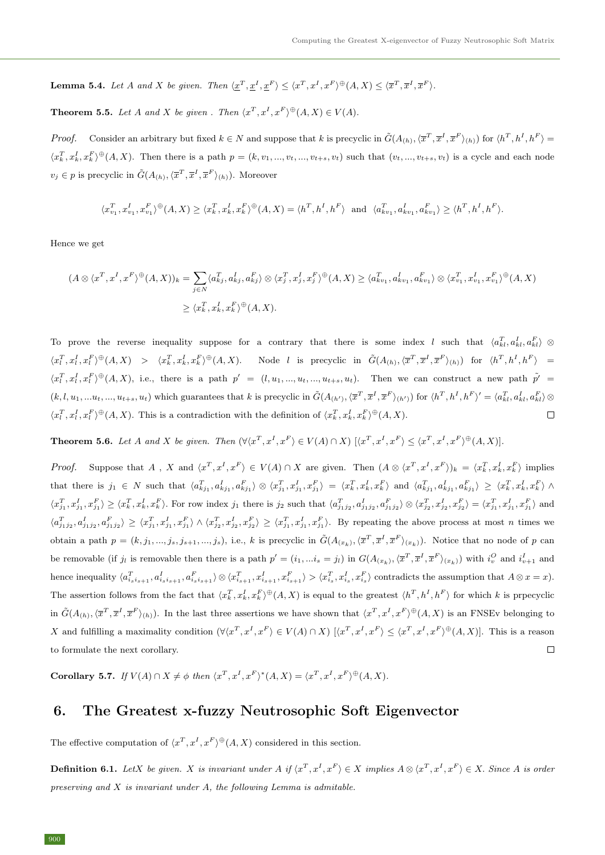**Lemma 5.4.** Let A and X be given. Then  $\langle \underline{x}^T, \underline{x}^I, \underline{x}^F \rangle \leq \langle x^T, x^I, x^F \rangle^{\oplus}(A, X) \leq \langle \overline{x}^T, \overline{x}^I, \overline{x}^F \rangle$ .

**Theorem 5.5.** Let A and X be given . Then  $\langle x^T, x^I, x^F \rangle \oplus (A, X) \in V(A)$ .

*Proof.* Consider an arbitrary but fixed  $k \in N$  and suppose that k is precyclic in  $\tilde{G}(A_{(h)},\langle \overline{x}^T, \overline{x}^I, \overline{x}^F \rangle_{(h)})$  for  $\langle h^T, h^I, h^F \rangle =$  $\langle x_k^T, x_k^I, x_k^F \rangle^{\oplus}(A, X)$ . Then there is a path  $p = (k, v_1, ..., v_t, ..., v_{t+s}, v_t)$  such that  $(v_t, ..., v_{t+s}, v_t)$  is a cycle and each node  $v_j \in p$  is precyclic in  $\tilde{G}(A_{(h)}, \langle \overline{x}^T, \overline{x}^I, \overline{x}^F \rangle_{(h)})$ . Moreover

$$
\langle x_{v_1}^T, x_{v_1}^I, x_{v_1}^F\rangle^\oplus(A, X) \geq \langle x_k^T, x_k^I, x_k^F\rangle^\oplus(A, X) = \langle h^T, h^I, h^F\rangle \text{ and } \langle a_{kv_1}^T, a_{kv_1}^I, a_{kv_1}^F\rangle \geq \langle h^T, h^I, h^F\rangle.
$$

Hence we get

$$
(A \otimes \langle x^T, x^I, x^F \rangle^{\oplus}(A, X))_k = \sum_{j \in N} \langle a_{kj}^T, a_{kj}^I, a_{kj}^F \rangle \otimes \langle x_j^T, x_j^I, x_j^F \rangle^{\oplus}(A, X) \ge \langle a_{kv_1}^T, a_{kv_1}^I, a_{kv_1}^F \rangle \otimes \langle x_{v_1}^T, x_{v_1}^I, x_{v_1}^F \rangle^{\oplus}(A, X)
$$
  

$$
\ge \langle x_k^T, x_k^I, x_k^F \rangle^{\oplus}(A, X).
$$

To prove the reverse inequality suppose for a contrary that there is some index l such that  $\langle a_{kl}^T, a_{kl}^I, a_{kl}^F \rangle \otimes$  $\langle x_l^T, x_l^I, x_l^F \rangle^{\oplus}(A, X) > \langle x_k^T, x_k^I, x_k^F \rangle^{\oplus}(A, X)$ . Node *l* is precyclic in  $\tilde{G}(A_{(h)}, \langle \overline{x}^T, \overline{x}^I, \overline{x}^F \rangle_{(h)})$  for  $\langle h^T, h^I, h^F \rangle =$  $\langle x_t^T, x_t^I, x_t^F \rangle^{\oplus}(A, X)$ , i.e., there is a path  $p' = (l, u_1, ..., u_t, ..., u_{t+s}, u_t)$ . Then we can construct a new path  $\tilde{p'} =$  $(k, l, u_1, \ldots, u_t, \ldots, u_{t+s}, u_t)$  which guarantees that k is precyclic in  $\tilde{G}(A_{(h')}, \langle \overline{x}^T, \overline{x}^I, \overline{x}^F \rangle_{(h')})$  for  $\langle h^T, h^I, h^F \rangle' = \langle a_{kl}^T, a_{kl}^I, a_{kl}^F \rangle \otimes$  $\langle x_l^T, x_l^I, x_l^F \rangle^{\oplus}(A, X)$ . This is a contradiction with the definition of  $\langle x_k^T, x_k^I, x_k^F \rangle^{\oplus}(A, X)$ .  $\Box$ 

**Theorem 5.6.** Let A and X be given. Then  $(\forall \langle x^T, x^I, x^F \rangle \in V(A) \cap X)$   $(\langle x^T, x^I, x^F \rangle \leq \langle x^T, x^I, x^F \rangle \oplus (A, X)].$ 

*Proof.* Suppose that A, X and  $\langle x^T, x^I, x^F \rangle \in V(A) \cap X$  are given. Then  $(A \otimes \langle x^T, x^I, x^F \rangle)_k = \langle x^T_k, x^I_k, x^F_k \rangle$  implies that there is  $j_1 \in N$  such that  $\langle a_{kj_1}^T, a_{kj_1}^I, a_{kj_1}^F \rangle \otimes \langle x_{j_1}^T, x_{j_1}^I, x_{j_1}^F \rangle = \langle x_k^T, x_k^I, x_k^F \rangle$  and  $\langle a_{kj_1}^T, a_{kj_1}^I, a_{kj_1}^I \rangle \geq \langle x_k^T, x_k^I, x_k^F \rangle \wedge$  $\langle x_{j_1}^T, x_{j_1}^I, x_{j_1}^F \rangle \ge \langle x_k^T, x_k^I, x_k^F \rangle$ . For row index  $j_1$  there is  $j_2$  such that  $\langle a_{j_1j_2}^T, a_{j_1j_2}^I, a_{j_1j_2}^F \rangle \otimes \langle x_{j_2}^T, x_{j_2}^I, x_{j_2}^F \rangle = \langle x_{j_1}^T, x_{j_1}^I, x_{j_1}^F \rangle$  and  $\langle a_{j_1j_2}^T, a_{j_1j_2}^I, a_{j_1j_2}^F \rangle \geq \langle x_{j_1}^T, x_{j_1}^I, x_{j_1}^F \rangle \wedge \langle x_{j_2}^T, x_{j_2}^I, x_{j_2}^F \rangle \geq \langle x_{j_1}^T, x_{j_1}^I, x_{j_1}^F \rangle$ . By repeating the above process at most *n* times we obtain a path  $p = (k, j_1, ..., j_s, j_{s+1}, ..., j_s)$ , i.e., k is precyclic in  $\tilde{G}(A_{(x_k)}, \langle \overline{x}^T, \overline{x}^I, \overline{x}^F \rangle_{(x_k)})$ . Notice that no node of p can be removable (if  $j_l$  is removable then there is a path  $p' = (i_1, ... i_s = j_l)$  in  $G(A_{(x_k)}, \langle \overline{x}^T, \overline{x}^I, \overline{x}^F \rangle_{(x_k)})$  with  $i_v^O$  and  $i_{v+1}^I$  and hence inequality  $\langle a_{i_s i_{s+1}}^T, a_{i_s i_{s+1}}^F, a_{i_s i_{s+1}}^F \rangle \otimes \langle x_{i_{s+1}}^T, x_{i_{s+1}}^F, x_{i_{s+1}}^F \rangle > \langle x_{i_s}^T, x_{i_s}^I, x_{i_s}^F \rangle$  contradicts the assumption that  $A \otimes x = x$ ). The assertion follows from the fact that  $\langle x_k^T, x_k^I, x_k^F \rangle^{\oplus}(A, X)$  is equal to the greatest  $\langle h^T, h^I, h^F \rangle$  for which k is prpecyclic in  $\tilde{G}(A_{(h)},\langle \overline{x}^T, \overline{x}^I, \overline{x}^F \rangle_{(h)})$ . In the last three assertions we have shown that  $\langle x^T, x^I, x^F \rangle^{\oplus}(A,X)$  is an FNSEv belonging to X and fulfilling a maximality condition  $(\forall \langle x^T, x^I, x^F \rangle \in V(A) \cap X)$   $[\langle x^T, x^I, x^F \rangle \leq \langle x^T, x^I, x^F \rangle \oplus (A, X)].$  This is a reason to formulate the next corollary.  $\Box$ 

Corollary 5.7. If  $V(A) \cap X \neq \phi$  then  $\langle x^T, x^I, x^F \rangle^*(A, X) = \langle x^T, x^I, x^F \rangle^{\oplus}(A, X)$ .

# 6. The Greatest x-fuzzy Neutrosophic Soft Eigenvector

The effective computation of  $\langle x^T, x^I, x^F \rangle \oplus (A, X)$  considered in this section.

**Definition 6.1.** LetX be given. X is invariant under A if  $\langle x^T, x^I, x^F \rangle \in X$  implies  $A \otimes \langle x^T, x^I, x^F \rangle \in X$ . Since A is order preserving and  $X$  is invariant under  $A$ , the following Lemma is admitable.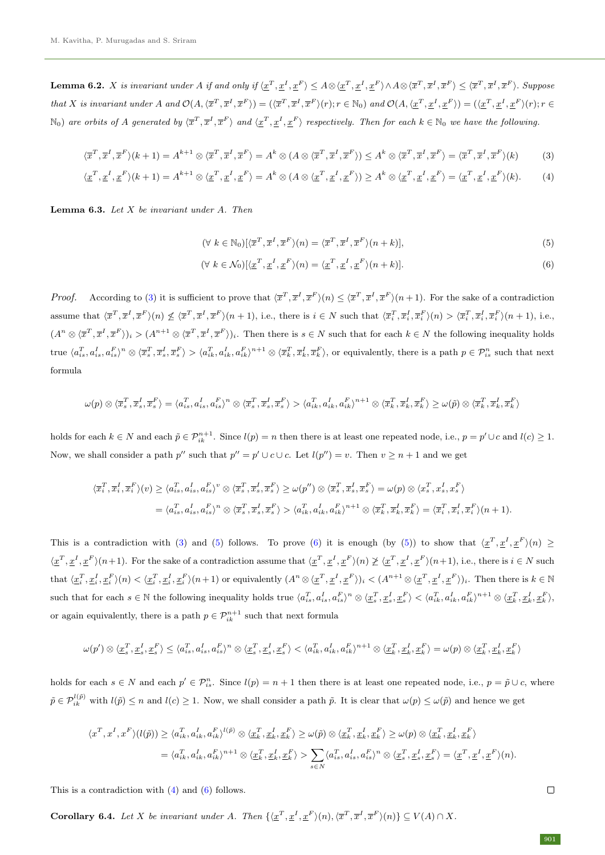**Lemma 6.2.** X is invariant under A if and only if  $\langle \underline{x}^T, \underline{x}^I, \underline{x}^F \rangle \leq A \otimes \langle \underline{x}^T, \underline{x}^I, \underline{x}^F \rangle \wedge A \otimes \langle \overline{x}^T, \overline{x}^I, \overline{x}^F \rangle \leq \langle \overline{x}^T, \overline{x}^I, \overline{x}^F \rangle$ . Suppose that X is invariant under A and  $\mathcal{O}(A,\langle \overline{x}^T, \overline{x}^I, \overline{x}^F \rangle) = (\langle \overline{x}^T, \overline{x}^I, \overline{x}^F \rangle(r); r \in \mathbb{N}_0)$  and  $\mathcal{O}(A,\langle \underline{x}^T, \underline{x}^I, \underline{x}^F \rangle) = (\langle \underline{x}^T, \underline{x}^I, \underline{x}^F \rangle(r); r \in \mathbb{N}_0)$  $\mathbb{N}_0$  are orbits of A generated by  $\langle \overline{x}^T, \overline{x}^I, \overline{x}^F \rangle$  and  $\langle \underline{x}^T, \underline{x}^I, \underline{x}^F \rangle$  respectively. Then for each  $k \in \mathbb{N}_0$  we have the following.

$$
\langle \overline{x}^T, \overline{x}^I, \overline{x}^F \rangle (k+1) = A^{k+1} \otimes \langle \overline{x}^T, \overline{x}^I, \overline{x}^F \rangle = A^k \otimes (A \otimes \langle \overline{x}^T, \overline{x}^I, \overline{x}^F \rangle) \le A^k \otimes \langle \overline{x}^T, \overline{x}^I, \overline{x}^F \rangle = \langle \overline{x}^T, \overline{x}^I, \overline{x}^F \rangle (k) \tag{3}
$$

$$
\langle \underline{x}^T, \underline{x}^I, \underline{x}^F \rangle (k+1) = A^{k+1} \otimes \langle \underline{x}^T, \underline{x}^I, \underline{x}^F \rangle = A^k \otimes (A \otimes \langle \underline{x}^T, \underline{x}^I, \underline{x}^F \rangle) \ge A^k \otimes \langle \underline{x}^T, \underline{x}^I, \underline{x}^F \rangle = \langle \underline{x}^T, \underline{x}^I, \underline{x}^F \rangle (k). \tag{4}
$$

**Lemma 6.3.** Let  $X$  be invariant under  $A$ . Then

<span id="page-8-3"></span><span id="page-8-2"></span><span id="page-8-1"></span><span id="page-8-0"></span>
$$
(\forall k \in \mathbb{N}_0)[\langle \overline{x}^T, \overline{x}^I, \overline{x}^F \rangle(n) = \langle \overline{x}^T, \overline{x}^I, \overline{x}^F \rangle(n+k)], \tag{5}
$$

$$
(\forall k \in \mathcal{N}_0)[\langle \underline{x}^T, \underline{x}^I, \underline{x}^F \rangle(n) = \langle \underline{x}^T, \underline{x}^I, \underline{x}^F \rangle(n+k)]. \tag{6}
$$

*Proof.* According to [\(3\)](#page-8-0) it is sufficient to prove that  $\langle \bar{x}^T, \bar{x}^I, \bar{x}^F \rangle(n) \leq \langle \bar{x}^T, \bar{x}^I, \bar{x}^F \rangle(n+1)$ . For the sake of a contradiction assume that  $\langle \overline{x}^T, \overline{x}^I, \overline{x}^F \rangle(n) \nleq \langle \overline{x}^T, \overline{x}^I, \overline{x}^F \rangle(n+1)$ , i.e., there is  $i \in N$  such that  $\langle \overline{x}_i^T, \overline{x}_i^I, \overline{x}_i^F \rangle(n) > \langle \overline{x}_i^T, \overline{x}_i^I, \overline{x}_i^F \rangle(n+1)$ , i.e.,  $(A^n \otimes \langle \overline{x}^T, \overline{x}^I, \overline{x}^F \rangle)_i > (A^{n+1} \otimes \langle \overline{x}^T, \overline{x}^I, \overline{x}^F \rangle)_i$ . Then there is  $s \in N$  such that for each  $k \in N$  the following inequality holds true  $\langle a_{is}^T, a_{is}^I, a_{is}^F \rangle^n \otimes \langle \overline{x}_s^T, \overline{x}_s^I, \overline{x}_s^F \rangle > \langle a_{ik}^T, a_{ik}^I, a_{ik}^F \rangle^{n+1} \otimes \langle \overline{x}_k^T, \overline{x}_k^I, \overline{x}_k^F \rangle$ , or equivalently, there is a path  $p \in \mathcal{P}_{is}^n$  such that next formula

$$
\omega(p)\otimes\langle\overline{x}_s^T,\overline{x}_s^I,\overline{x}_s^F\rangle=\langle a_{is}^T,a_{is}^I,a_{is}^F\rangle^n\otimes\langle\overline{x}_s^T,\overline{x}_s^I,\overline{x}_s^F\rangle>\langle a_{ik}^T,a_{ik}^I,a_{ik}^F\rangle^{n+1}\otimes\langle\overline{x}_k^T,\overline{x}_k^I,\overline{x}_k^F\rangle\geq\omega(\widetilde{p})\otimes\langle\overline{x}_k^T,\overline{x}_k^I,\overline{x}_k^F\rangle
$$

holds for each  $k \in N$  and each  $\tilde{p} \in \mathcal{P}_{ik}^{n+1}$ . Since  $l(p) = n$  then there is at least one repeated node, i.e.,  $p = p' \cup c$  and  $l(c) \geq 1$ . Now, we shall consider a path p'' such that  $p'' = p' \cup c \cup c$ . Let  $l(p'') = v$ . Then  $v \ge n + 1$  and we get

$$
\langle \overline{x}_i^T, \overline{x}_i^I, \overline{x}_i^F \rangle (v) \ge \langle a_{is}^T, a_{is}^I, a_{is}^F \rangle^v \otimes \langle \overline{x}_s^T, \overline{x}_s^I, \overline{x}_s^F \rangle \ge \omega(p'') \otimes \langle \overline{x}_s^T, \overline{x}_s^I, \overline{x}_s^F \rangle = \omega(p) \otimes \langle x_s^T, x_s^I, x_s^F \rangle
$$
  
=  $\langle a_{is}^T, a_{is}^I, a_{is}^F \rangle^n \otimes \langle \overline{x}_s^T, \overline{x}_s^I, \overline{x}_s^F \rangle > \langle a_{ik}^T, a_{ik}^I, a_{ik}^F \rangle^{n+1} \otimes \langle \overline{x}_k^T, \overline{x}_k^I, \overline{x}_s^F \rangle = \langle \overline{x}_i^T, \overline{x}_i^I, \overline{x}_i^F \rangle (n+1).$ 

This is a contradiction with [\(3\)](#page-8-0) and [\(5\)](#page-8-1) follows. To prove [\(6\)](#page-8-2) it is enough (by (5)) to show that  $\langle x^T, x^I, x^F \rangle(n) \geq$  $\langle \underline{x}^T, \underline{x}^I, \underline{x}^F \rangle (n+1)$ . For the sake of a contradiction assume that  $\langle \underline{x}^T, \underline{x}^I, \underline{x}^F \rangle (n) \not\geq \langle \underline{x}^T, \underline{x}^I, \underline{x}^F \rangle (n+1)$ , i.e., there is  $i \in N$  such that  $\langle \underline{x}_i^T, \underline{x}_i^I, \underline{x}_i^F \rangle(n) < \langle \underline{x}_i^T, \underline{x}_i^I, \underline{x}_i^F \rangle(n+1)$  or equivalently  $(A^n \otimes \langle \underline{x}^T, \underline{x}^I, \underline{x}^F \rangle)_i < (A^{n+1} \otimes \langle \underline{x}^T, \underline{x}^I, \underline{x}^F \rangle)_i$ . Then there is  $k \in \mathbb{N}$ such that for each  $s \in \mathbb{N}$  the following inequality holds true  $\langle a_{is}^T, a_{is}^I, a_{is}^F \rangle^n \otimes \langle \underline{x}_s^T, \underline{x}_s^I, \underline{x}_s^F \rangle < \langle a_{ik}^T, a_{ik}^I, a_{ik}^F \rangle^{n+1} \otimes \langle \underline{x}_k^T, \underline{x}_k^I, \underline{x}_k^F \rangle$ or again equivalently, there is a path  $p \in \mathcal{P}_{ik}^{n+1}$  such that next formula

$$
\omega(p')\otimes\langle\underline{x}_s^T,\underline{x}_s^I,\underline{x}_s^F\rangle\leq\langle a_{is}^T,a_{is}^I,a_{is}^F\rangle^n\otimes\langle\underline{x}_s^T,\underline{x}_s^I,\underline{x}_s^F\rangle<\langle a_{ik}^T,a_{ik}^I,a_{ik}^F\rangle^{n+1}\otimes\langle\underline{x}_k^T,\underline{x}_k^I,\underline{x}_k^F\rangle=\omega(p)\otimes\langle\underline{x}_k^T,\underline{x}_k^I,\underline{x}_k^F\rangle
$$

holds for each  $s \in N$  and each  $p' \in \mathcal{P}_{is}^n$ . Since  $l(p) = n + 1$  then there is at least one repeated node, i.e.,  $p = \tilde{p} \cup c$ , where  $\tilde{p} \in \mathcal{P}_{ik}^{l(\tilde{p})}$  with  $l(\tilde{p}) \leq n$  and  $l(c) \geq 1$ . Now, we shall consider a path  $\tilde{p}$ . It is clear that  $\omega(p) \leq \omega(\tilde{p})$  and hence we get

$$
\langle x^T, x^I, x^F \rangle (l(\tilde{p})) \geq \langle a_{ik}^T, a_{ik}^I, a_{ik}^F \rangle^{l(\tilde{p})} \otimes \langle \underline{x}_k^T, \underline{x}_k^I, \underline{x}_k^F \rangle \geq \omega(\tilde{p}) \otimes \langle \underline{x}_k^T, \underline{x}_k^I, \underline{x}_k^F \rangle \geq \omega(p) \otimes \langle \underline{x}_k^T, \underline{x}_k^I, \underline{x}_k^F \rangle
$$
  

$$
= \langle a_{ik}^T, a_{ik}^I, a_{ik}^F \rangle^{n+1} \otimes \langle \underline{x}_k^T, \underline{x}_k^I, \underline{x}_k^F \rangle > \sum_{s \in N} \langle a_{is}^T, a_{is}^I, a_{is}^F \rangle^n \otimes \langle \underline{x}_s^T, \underline{x}_s^I, \underline{x}_s^F \rangle = \langle \underline{x}^T, \underline{x}^I, \underline{x}^F \rangle (n).
$$

This is a contradiction with [\(4\)](#page-8-3) and [\(6\)](#page-8-2) follows.

**Corollary 6.4.** Let X be invariant under A. Then  $\{\langle \underline{x}^T, \underline{x}^I, \underline{x}^F \rangle(n), \langle \overline{x}^T, \overline{x}^I, \overline{x}^F \rangle(n)\} \subseteq V(A) \cap X$ .

 $\Box$ 

901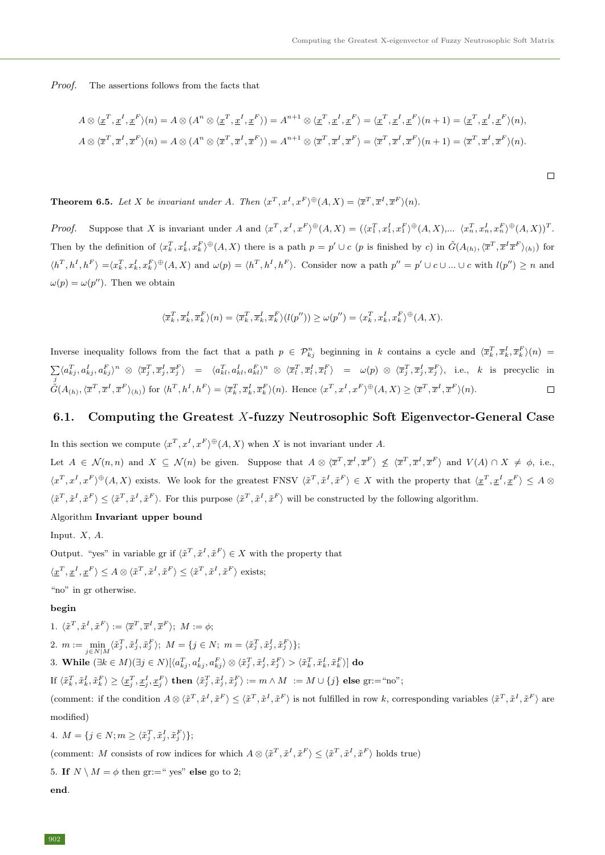$\Box$ 

Proof. The assertions follows from the facts that

$$
A \otimes \langle \underline{x}^T, \underline{x}^I, \underline{x}^F \rangle (n) = A \otimes (A^n \otimes \langle \underline{x}^T, \underline{x}^I, \underline{x}^F \rangle) = A^{n+1} \otimes \langle \underline{x}^T, \underline{x}^I, \underline{x}^F \rangle = \langle \underline{x}^T, \underline{x}^I, \underline{x}^F \rangle (n+1) = \langle \underline{x}^T, \underline{x}^I, \underline{x}^F \rangle (n),
$$
  

$$
A \otimes \langle \overline{x}^T, \overline{x}^I, \overline{x}^F \rangle (n) = A \otimes (A^n \otimes \langle \overline{x}^T, \overline{x}^I, \overline{x}^F \rangle) = A^{n+1} \otimes \langle \overline{x}^T, \overline{x}^I, \overline{x}^F \rangle = \langle \overline{x}^T, \overline{x}^I, \overline{x}^F \rangle (n+1) = \langle \overline{x}^T, \overline{x}^I, \overline{x}^F \rangle (n).
$$

**Theorem 6.5.** Let X be invariant under A. Then  $\langle x^T, x^I, x^F \rangle \oplus (A, X) = \langle \overline{x}^T, \overline{x}^I, \overline{x}^F \rangle (n)$ .

*Proof.* Suppose that X is invariant under A and  $\langle x^T, x^I, x^F \rangle \oplus (A, X) = (\langle x_1^T, x_1^I, x_1^F \rangle \oplus (A, X), \dots, \langle x_n^T, x_n^I, x_n^F \rangle \oplus (A, X))^T$ . Then by the definition of  $\langle x_k^T, x_k^I, x_k^F \rangle^{\oplus}(A, X)$  there is a path  $p = p' \cup c$  (p is finished by c) in  $\tilde{G}(A_{(h)}, \langle \overline{x}^T, \overline{x}^I \overline{x}^F \rangle_{(h)})$  for  $\langle h^T, h^I, h^F \rangle = \langle x_k^T, x_k^I, x_k^F \rangle \oplus (A, X)$  and  $\omega(p) = \langle h^T, h^I, h^F \rangle$ . Consider now a path  $p'' = p' \cup c \cup ... \cup c$  with  $l(p'') \geq n$  and  $\omega(p) = \omega(p'')$ . Then we obtain

$$
\langle \overline{x}_k^T, \overline{x}_k^I, \overline{x}_k^F \rangle(n) = \langle \overline{x}_k^T, \overline{x}_k^I, \overline{x}_k^F \rangle(l(p'')) \ge \omega(p'') = \langle x_k^T, x_k^I, x_k^F \rangle^{\oplus}(A, X).
$$

Inverse inequality follows from the fact that a path  $p \in \mathcal{P}_{kj}^n$  beginning in k contains a cycle and  $\langle \overline{x}_k^T, \overline{x}_k^T, \overline{x}_k^F \rangle(n) =$  $\sum \langle a_{kj}^T, a_{kj}^I, a_{kj}^F \rangle^n \; \otimes \; \langle \overline{x}_j^T, \overline{x}_j^I, \overline{x}_j^F \rangle \;\; = \;\; \langle a_{kl}^T, a_{kl}^I, a_{kl}^F \rangle^n \; \otimes \; \langle \overline{x}_l^T, \overline{x}_l^I, \overline{x}_l^F \rangle \;\; = \;\; \omega(p) \; \otimes \; \langle \overline{x}_j^T, \overline{x}_j^I, \overline{x}_j^F \rangle, \;\; \text{i.e.,} \;\; k \;\; \text{is \; precyclic \; in}$  $\tilde{G}(A_{(h)},\langle \overline{x}^T, \overline{x}^I, \overline{x}^F \rangle_{(h)})$  for  $\langle h^T, h^I, h^F \rangle = \langle \overline{x}_k^T, \overline{x}_k^I, \overline{x}_k^F \rangle(n)$ . Hence  $\langle x^T, x^I, x^F \rangle^{\oplus}(A,X) \geq \langle \overline{x}^T, \overline{x}^I, \overline{x}^F \rangle(n)$ .  $\Box$ 

### 6.1. Computing the Greatest X-fuzzy Neutrosophic Soft Eigenvector-General Case

In this section we compute  $\langle x^T, x^I, x^F \rangle \oplus (A, X)$  when X is not invariant under A. Let  $A \in \mathcal{N}(n,n)$  and  $X \subseteq \mathcal{N}(n)$  be given. Suppose that  $A \otimes \langle \overline{x}^T, \overline{x}^I, \overline{x}^F \rangle \nleq \langle \overline{x}^T, \overline{x}^I, \overline{x}^F \rangle$  and  $V(A) \cap X \neq \emptyset$ , i.e.,  $\langle x^T, x^I, x^F \rangle^{\oplus}(A, X)$  exists. We look for the greatest FNSV  $\langle \tilde{x}^T, \tilde{x}^I, \tilde{x}^F \rangle \in X$  with the property that  $\langle x^T, x^I, x^F \rangle \leq A \otimes$  $\langle \tilde{x}^T, \tilde{x}^I, \tilde{x}^F \rangle \leq \langle \tilde{x}^T, \tilde{x}^I, \tilde{x}^F \rangle$ . For this purpose  $\langle \tilde{x}^T, \tilde{x}^I, \tilde{x}^F \rangle$  will be constructed by the following algorithm.

#### Algorithm Invariant upper bound

Input.  $X$ ,  $A$ .

Output. "yes" in variable gr if  $\langle \tilde{x}^T, \tilde{x}^I, \tilde{x}^F \rangle \in X$  with the property that  $\langle \underline{x}^T, \underline{x}^I, \underline{x}^F \rangle \leq A \otimes \langle \tilde{x}^T, \tilde{x}^I, \tilde{x}^F \rangle \leq \langle \tilde{x}^T, \tilde{x}^I, \tilde{x}^F \rangle$  exists;

"no" in gr otherwise.

#### begin

1. 
$$
\langle \tilde{x}^T, \tilde{x}^I, \tilde{x}^F \rangle := \langle \overline{x}^T, \overline{x}^I, \overline{x}^F \rangle
$$
;  $M := \phi$ ; \n2.  $m := \min_{j \in N|M} \langle \tilde{x}_j^T, \tilde{x}_j^I, \tilde{x}_j^F \rangle$ ;  $M = \{j \in N; \ m = \langle \tilde{x}_j^T, \tilde{x}_j^I, \tilde{x}_j^F \rangle\}$ ; \n3. While  $(\exists k \in M)(\exists j \in N)[\langle a_{kj}^T, a_{kj}^I, a_{kj}^F \rangle \otimes \langle \tilde{x}_j^T, \tilde{x}_j^I, \tilde{x}_j^F \rangle > \langle \tilde{x}_k^T, \tilde{x}_k^I, \tilde{x}_k^F \rangle]$  do \nIf  $\langle \tilde{x}_k^T, \tilde{x}_k^I, \tilde{x}_k^F \rangle \geq \langle \underline{x}_j^T, \underline{x}_j^I, \underline{x}_j^F \rangle$  then  $\langle \tilde{x}_j^T, \tilde{x}_j^I, \tilde{x}_j^F \rangle := m \wedge M := M \cup \{j\}$  else  $gr := \text{``no''}$ ;

(comment: if the condition  $A \otimes \langle \tilde{x}^T, \tilde{x}^I, \tilde{x}^F \rangle \leq \langle \tilde{x}^T, \tilde{x}^I, \tilde{x}^F \rangle$  is not fulfilled in row k, corresponding variables  $\langle \tilde{x}^T, \tilde{x}^I, \tilde{x}^F \rangle$  are modified)

4. 
$$
M = \{ j \in N; m \geq \langle \tilde{x}_j^T, \tilde{x}_j^I, \tilde{x}_j^F \rangle \};
$$

(comment: M consists of row indices for which  $A \otimes \langle \tilde{x}^T, \tilde{x}^I, \tilde{x}^F \rangle \leq \langle \tilde{x}^T, \tilde{x}^I, \tilde{x}^F \rangle$  holds true)

5. If  $N \setminus M = \phi$  then gr:=" yes" else go to 2;

end.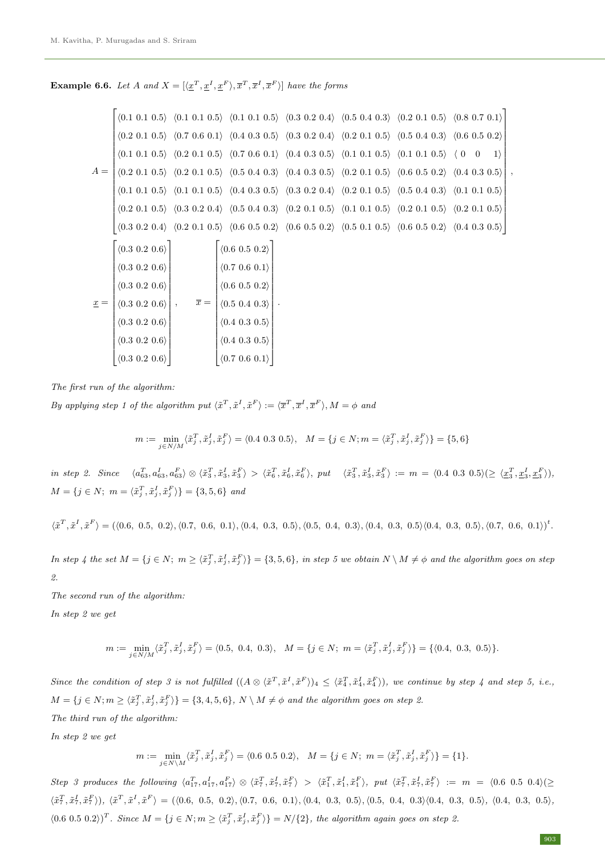**Example 6.6.** Let A and  $X = [\langle \underline{x}^T, \underline{x}^I, \underline{x}^F \rangle, \overline{x}^T, \overline{x}^I, \overline{x}^F \rangle]$  have the forms

|                   |                     |                  | $(0.1\ 0.1\ 0.5)$ $(0.1\ 0.1\ 0.5)$ $(0.1\ 0.1\ 0.5)$ $(0.3\ 0.2\ 0.4)$ $(0.5\ 0.4\ 0.3)$ $(0.2\ 0.1\ 0.5)$ $(0.8\ 0.7\ 0.1)$                                                                                                                 |  |             |    |
|-------------------|---------------------|------------------|-----------------------------------------------------------------------------------------------------------------------------------------------------------------------------------------------------------------------------------------------|--|-------------|----|
|                   |                     |                  | $(0.2\ 0.1\ 0.5)$ $(0.7\ 0.6\ 0.1)$ $(0.4\ 0.3\ 0.5)$ $(0.3\ 0.2\ 0.4)$ $(0.2\ 0.1\ 0.5)$ $(0.5\ 0.4\ 0.3)$ $(0.6\ 0.5\ 0.2)$                                                                                                                 |  |             |    |
|                   |                     |                  | $\langle 0.1 \; 0.1 \; 0.5 \rangle$ $\langle 0.2 \; 0.1 \; 0.5 \rangle$ $\langle 0.7 \; 0.6 \; 0.1 \rangle$ $\langle 0.4 \; 0.3 \; 0.5 \rangle$ $\langle 0.1 \; 0.1 \; 0.5 \rangle$ $\langle 0.1 \; 0.1 \; 0.5 \rangle$ $\langle 0 \; 0$      |  | $ 1\rangle$ |    |
| $A =$             |                     |                  | $(0.2\ 0.1\ 0.5)$ $(0.2\ 0.1\ 0.5)$ $(0.5\ 0.4\ 0.3)$ $(0.4\ 0.3\ 0.5)$ $(0.2\ 0.1\ 0.5)$ $(0.6\ 0.5\ 0.2)$ $(0.4\ 0.3\ 0.5)$                                                                                                                 |  |             | ۱, |
|                   |                     |                  | $(0.1 \t0.1 \t0.5)$ $(0.1 \t0.1 \t0.5)$ $(0.4 \t0.3 \t0.5)$ $(0.3 \t0.2 \t0.4)$ $(0.2 \t0.1 \t0.5)$ $(0.5 \t0.4 \t0.3)$ $(0.1 \t0.1 \t0.5)$                                                                                                   |  |             |    |
|                   |                     |                  | $(0.2\ 0.1\ 0.5)$ $(0.3\ 0.2\ 0.4)$ $(0.5\ 0.4\ 0.3)$ $(0.2\ 0.1\ 0.5)$ $(0.1\ 0.1\ 0.5)$ $(0.2\ 0.1\ 0.5)$ $(0.2\ 0.1\ 0.5)$                                                                                                                 |  |             |    |
|                   |                     |                  | $\langle 0.3 \ 0.2 \ 0.4 \rangle$ $\langle 0.2 \ 0.1 \ 0.5 \rangle$ $\langle 0.6 \ 0.5 \ 0.2 \rangle$ $\langle 0.6 \ 0.5 \ 0.2 \rangle$ $\langle 0.5 \ 0.1 \ 0.5 \rangle$ $\langle 0.6 \ 0.5 \ 0.2 \rangle$ $\langle 0.4 \ 0.3 \ 0.5 \rangle$ |  |             |    |
|                   | $(0.3 \ 0.2 \ 0.6)$ |                  | $  \langle 0.6 \; 0.5 \; 0.2 \rangle$                                                                                                                                                                                                         |  |             |    |
|                   |                     |                  |                                                                                                                                                                                                                                               |  |             |    |
|                   | $(0.3 \ 0.2 \ 0.6)$ |                  | (0.7 0.6 0.1)                                                                                                                                                                                                                                 |  |             |    |
|                   | $(0.3 \ 0.2 \ 0.6)$ |                  | (0.6 0.5 0.2)                                                                                                                                                                                                                                 |  |             |    |
| $\underline{x} =$ | $(0.3 \ 0.2 \ 0.6)$ | $\overline{x} =$ | $(0.5 \ 0.4 \ 0.3)$                                                                                                                                                                                                                           |  |             |    |
|                   | (0.3 0.2 0.6)       |                  | (0.4 0.3 0.5)                                                                                                                                                                                                                                 |  |             |    |
|                   | $(0.3 \ 0.2 \ 0.6)$ |                  | (0.4 0.3 0.5)                                                                                                                                                                                                                                 |  |             |    |
|                   | (0.3 0.2 0.6)       |                  | (0.7 0.6 0.1)                                                                                                                                                                                                                                 |  |             |    |

The first run of the algorithm:

By applying step 1 of the algorithm put  $\langle \tilde{x}^T, \tilde{x}^I, \tilde{x}^F \rangle := \langle \overline{x}^T, \overline{x}^I, \overline{x}^F \rangle, M = \phi$  and

$$
m:=\min_{j\in N/M}\langle \tilde{x}_j^T,\tilde{x}_j^I,\tilde{x}_j^F\rangle = \langle 0.4\,\, 0.3\,\, 0.5 \rangle, \quad M=\{j\in N; m=\langle \tilde{x}_j^T,\tilde{x}_j^I,\tilde{x}_j^F\rangle\} = \{5,6\}
$$

 $\text{in step 2. Since } \langle a_{63}^T, a_{63}^I, a_{63}^F \rangle \otimes \langle \tilde{x}_3^T, \tilde{x}_3^I, \tilde{x}_3^F \rangle > \langle \tilde{x}_6^T, \tilde{x}_6^I, \tilde{x}_6^F \rangle, \text{ put } \langle \tilde{x}_3^T, \tilde{x}_3^I, \tilde{x}_3^F \rangle := m = \langle 0.4 \; 0.3 \; 0.5 \rangle (\geq \langle \underline{x}_3^T, \underline{x}_3^I, \underline{x}_3^F \rangle),$  $M = \{j \in N; \ m = \langle \tilde{x}_j^T, \tilde{x}_j^I, \tilde{x}_j^F \rangle\} = \{3, 5, 6\}$  and

$$
\langle \tilde{x}^T, \tilde{x}^I, \tilde{x}^F \rangle = (\langle 0.6, 0.5, 0.2 \rangle, \langle 0.7, 0.6, 0.1 \rangle, \langle 0.4, 0.3, 0.5 \rangle, \langle 0.5, 0.4, 0.3 \rangle, \langle 0.4, 0.3, 0.5 \rangle, \langle 0.4, 0.3, 0.5 \rangle, \langle 0.7, 0.6, 0.1 \rangle)^t.
$$

In step 4 the set  $M = \{j \in N; m \geq \langle \tilde{x}_j^T, \tilde{x}_j^I, \tilde{x}_j^F \rangle\} = \{3, 5, 6\}$ , in step 5 we obtain  $N \setminus M \neq \phi$  and the algorithm goes on step 2.

The second run of the algorithm:

In step 2 we get

$$
m := \min_{j \in N/M} \langle \tilde{x}_j^T, \tilde{x}_j^I, \tilde{x}_j^F \rangle = \langle 0.5, 0.4, 0.3 \rangle, \quad M = \{ j \in N; \ m = \langle \tilde{x}_j^T, \tilde{x}_j^I, \tilde{x}_j^F \rangle \} = \{ \langle 0.4, 0.3, 0.5 \rangle \}.
$$

Since the condition of step 3 is not fulfilled  $((A \otimes \langle \tilde{x}^T, \tilde{x}^I, \tilde{x}^F \rangle)_4 \leq \langle \tilde{x}_4^T, \tilde{x}_4^I, \tilde{x}_4^F \rangle)$ , we continue by step 4 and step 5, i.e.,  $M = \{j \in N; m \geq \langle \tilde{x}_j^T, \tilde{x}_j^I, \tilde{x}_j^F \rangle\} = \{3, 4, 5, 6\}, N \setminus M \neq \phi \text{ and the algorithm goes on step 2.}$ 

The third run of the algorithm:

In step 2 we get

$$
m := \min_{j \in N \setminus M} \langle \tilde{x}_j^T, \tilde{x}_j^T, \tilde{x}_j^F \rangle = \langle 0.6 \ 0.5 \ 0.2 \rangle, \quad M = \{ j \in N; \ m = \langle \tilde{x}_j^T, \tilde{x}_j^T, \tilde{x}_j^F \rangle \} = \{ 1 \}.
$$

 $Step\ \ 3\ \ products\ \ the\ \ following\ \ \langle a_{17}^T,a_{17}^I,a_{17}^F\rangle \ \otimes\ \langle \tilde{x}_7^T,\tilde{x}_7^I,\tilde{x}_7^F\rangle \ \ >\ \ \langle \tilde{x}_1^T,\tilde{x}_1^I,\tilde{x}_1^F\rangle,\ \ put\ \ \langle \tilde{x}_7^T,\tilde{x}_7^I,\tilde{x}_7^F\rangle \ \ :=\ \ m\ \ =\ \ \langle 0.6\ \ 0.5\ \ 0.4\rangle (\geq$  $\langle \tilde{x}_7^T, \tilde{x}_7^L, \tilde{x}_7^F \rangle$ ),  $\langle \tilde{x}^T, \tilde{x}^I, \tilde{x}^F \rangle = (\langle 0.6, 0.5, 0.2 \rangle, \langle 0.7, 0.6, 0.1 \rangle, \langle 0.4, 0.3, 0.5 \rangle, \langle 0.5, 0.4, 0.3 \rangle, \langle 0.4, 0.3, 0.5 \rangle, \langle 0.4, 0.3, 0.5 \rangle)$  $(0.6 \ 0.5 \ 0.2))^T$ . Since  $M = \{j \in N; m \geq \langle \tilde{x}_j^T, \tilde{x}_j^I, \tilde{x}_j^F \rangle\} = N/\{2\}$ , the algorithm again goes on step 2.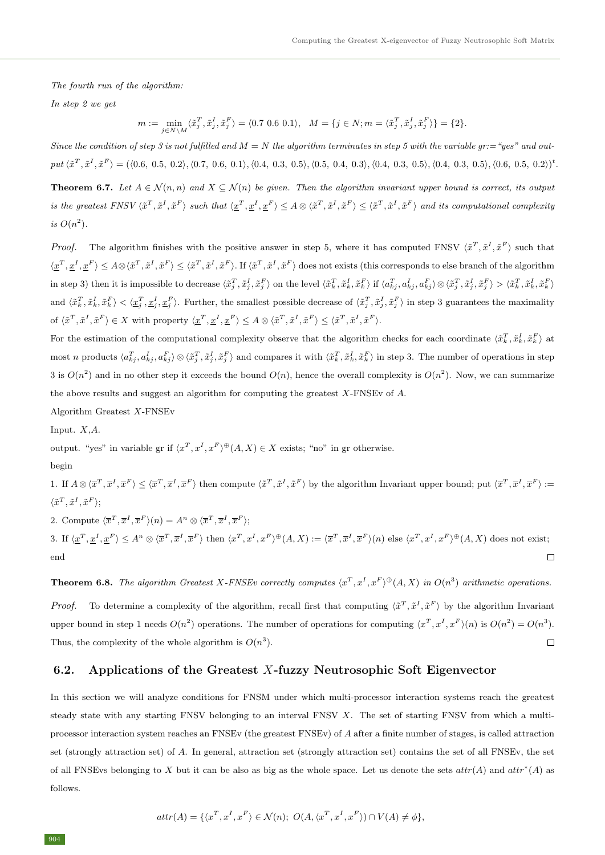The fourth run of the algorithm:

In step 2 we get

$$
m := \min_{j \in N \setminus M} \langle \tilde{x}_j^T, \tilde{x}_j^I, \tilde{x}_j^F \rangle = \langle 0.7 \ 0.6 \ 0.1 \rangle, \quad M = \{ j \in N; m = \langle \tilde{x}_j^T, \tilde{x}_j^I, \tilde{x}_j^F \rangle \} = \{ 2 \}.
$$

Since the condition of step 3 is not fulfilled and  $M = N$  the algorithm terminates in step 5 with the variable gr:="yes" and output  $\langle \tilde{x}^T, \tilde{x}^I, \tilde{x}^F \rangle = (\langle 0.6, 0.5, 0.2 \rangle, \langle 0.7, 0.6, 0.1 \rangle, \langle 0.4, 0.3, 0.5 \rangle, \langle 0.5, 0.4, 0.3, 0.5 \rangle, \langle 0.4, 0.3, 0.5 \rangle, \langle 0.4, 0.3, 0.5 \rangle, \langle 0.6, 0.5, 0.2 \rangle)^t$ **Theorem 6.7.** Let  $A \in \mathcal{N}(n, n)$  and  $X \subseteq \mathcal{N}(n)$  be given. Then the algorithm invariant upper bound is correct, its output is the greatest FNSV  $\langle \tilde{x}^T, \tilde{x}^I, \tilde{x}^F \rangle$  such that  $\langle \underline{x}^T, \underline{x}^I, \underline{x}^F \rangle \leq A \otimes \langle \tilde{x}^T, \tilde{x}^I, \tilde{x}^F \rangle \leq \langle \tilde{x}^T, \tilde{x}^I, \tilde{x}^F \rangle$  and its computational complexity is  $O(n^2)$ .

*Proof.* The algorithm finishes with the positive answer in step 5, where it has computed FNSV  $\langle \tilde{x}^T, \tilde{x}^I, \tilde{x}^F \rangle$  such that  $\langle \underline{x}^T, \underline{x}^I, \underline{x}^F \rangle \leq A \otimes \langle \tilde{x}^T, \tilde{x}^I, \tilde{x}^F \rangle \leq \langle \tilde{x}^T, \tilde{x}^I, \tilde{x}^F \rangle$ . If  $\langle \tilde{x}^T, \tilde{x}^I, \tilde{x}^F \rangle$  does not exists (this corresponds to else branch of the algorithm in step 3) then it is impossible to decrease  $\langle \tilde{x}_j^T, \tilde{x}_j^I, \tilde{x}_j^F \rangle$  on the level  $\langle \tilde{x}_k^T, \tilde{x}_k^I, \tilde{x}_k^F \rangle$  if  $\langle a_{kj}^T, a_{kj}^I, a_{kj}^I \rangle \otimes \langle \tilde{x}_j^T, \tilde{x}_j^I, \tilde{x}_j^F \rangle > \langle \tilde{x}_k^T, \tilde{x}_k^I, \tilde{x}_k^F \rangle$ and  $\langle \tilde{x}_k^T, \tilde{x}_k^I, \tilde{x}_k^F \rangle < \langle \underline{x}_j^T, \underline{x}_j^I, \underline{x}_j^F \rangle$ . Further, the smallest possible decrease of  $\langle \tilde{x}_j^T, \tilde{x}_j^I, \tilde{x}_j^F \rangle$  in step 3 guarantees the maximality of  $\langle \tilde{x}^T, \tilde{x}^I, \tilde{x}^F \rangle \in X$  with property  $\langle \underline{x}^T, \underline{x}^I, \underline{x}^F \rangle \leq A \otimes \langle \tilde{x}^T, \tilde{x}^I, \tilde{x}^F \rangle \leq \langle \tilde{x}^T, \tilde{x}^I, \tilde{x}^F \rangle$ .

For the estimation of the computational complexity observe that the algorithm checks for each coordinate  $\langle \tilde{x}_k^T, \tilde{x}_k^I, \tilde{x}_k^F \rangle$  at most n products  $\langle a_{kj}^T, a_{kj}^I, a_{kj}^F \rangle \otimes \langle \tilde{x}_j^T, \tilde{x}_j^I, \tilde{x}_j^F \rangle$  and compares it with  $\langle \tilde{x}_k^T, \tilde{x}_k^I, \tilde{x}_k^F \rangle$  in step 3. The number of operations in step 3 is  $O(n^2)$  and in no other step it exceeds the bound  $O(n)$ , hence the overall complexity is  $O(n^2)$ . Now, we can summarize the above results and suggest an algorithm for computing the greatest  $X$ -FNSEv of  $A$ 

Algorithm Greatest X-FNSEv

Input. X,A.

output. "yes" in variable gr if  $\langle x^T, x^I, x^F \rangle \Theta(A, X) \in X$  exists; "no" in gr otherwise.

begin

1. If  $A \otimes \langle \overline{x}^T, \overline{x}^I, \overline{x}^F \rangle \leq \langle \overline{x}^T, \overline{x}^I, \overline{x}^F \rangle$  then compute  $\langle \overline{x}^T, \overline{x}^I, \overline{x}^F \rangle$  by the algorithm Invariant upper bound; put  $\langle \overline{x}^T, \overline{x}^I, \overline{x}^F \rangle :=$  $\langle \tilde{x}^T, \tilde{x}^I, \tilde{x}^F \rangle;$ 

2. Compute  $\langle \overline{x}^T, \overline{x}^I, \overline{x}^F \rangle (n) = A^n \otimes \langle \overline{x}^T, \overline{x}^I, \overline{x}^F \rangle;$ 

3. If  $\langle \underline{x}^T, \underline{x}^I, \underline{x}^F \rangle \leq A^n \otimes \langle \overline{x}^T, \overline{x}^I, \overline{x}^F \rangle$  then  $\langle x^T, x^I, x^F \rangle^{\oplus}(A, X) := \langle \overline{x}^T, \overline{x}^I, \overline{x}^F \rangle(n)$  else  $\langle x^T, x^I, x^F \rangle^{\oplus}(A, X)$  does not exist; end  $\Box$ 

**Theorem 6.8.** The algorithm Greatest X-FNSEv correctly computes  $\langle x^T, x^I, x^F \rangle^{\oplus}(A, X)$  in  $O(n^3)$  arithmetic operations.

*Proof.* To determine a complexity of the algorithm, recall first that computing  $\langle \tilde{x}^T, \tilde{x}^I, \tilde{x}^F \rangle$  by the algorithm Invariant upper bound in step 1 needs  $O(n^2)$  operations. The number of operations for computing  $\langle x^T, x^I, x^F \rangle(n)$  is  $O(n^2) = O(n^3)$ .  $\Box$ Thus, the complexity of the whole algorithm is  $O(n^3)$ .

#### 6.2. Applications of the Greatest X-fuzzy Neutrosophic Soft Eigenvector

In this section we will analyze conditions for FNSM under which multi-processor interaction systems reach the greatest steady state with any starting FNSV belonging to an interval FNSV X. The set of starting FNSV from which a multiprocessor interaction system reaches an FNSEv (the greatest FNSEv) of A after a finite number of stages, is called attraction set (strongly attraction set) of A. In general, attraction set (strongly attraction set) contains the set of all FNSEv, the set of all FNSEvs belonging to X but it can be also as big as the whole space. Let us denote the sets  $attr(A)$  and  $attr^*(A)$  as follows.

$$
attr(A) = \{ \langle x^T, x^I, x^F \rangle \in \mathcal{N}(n); \ O(A, \langle x^T, x^I, x^F \rangle) \cap V(A) \neq \phi \},
$$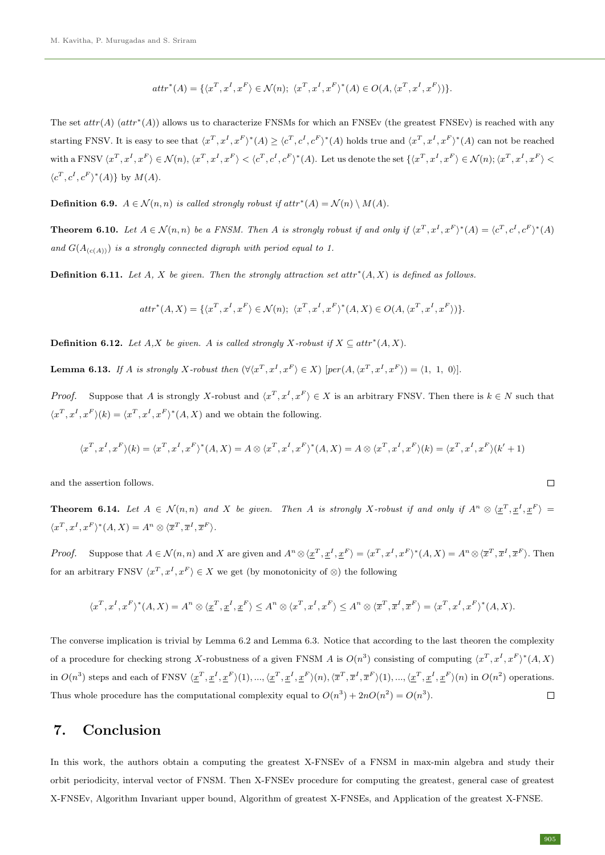$$
\operatorname{attr}^*(A)=\{\langle x^T,x^I,x^F\rangle\in\mathcal N(n);\ \langle x^T,x^I,x^F\rangle^*(A)\in O(A,\langle x^T,x^I,x^F\rangle)\}.
$$

The set  $attr(A)$   $(attr^*(A))$  allows us to characterize FNSMs for which an FNSEv (the greatest FNSEv) is reached with any starting FNSV. It is easy to see that  $\langle x^T, x^I, x^F \rangle^* (A) \ge \langle c^T, c^I, c^F \rangle^* (A)$  holds true and  $\langle x^T, x^I, x^F \rangle^* (A)$  can not be reached with a FNSV  $\langle x^T, x^I, x^F \rangle \in \mathcal{N}(n)$ ,  $\langle x^T, x^I, x^F \rangle < \langle c^T, c^I, c^F \rangle^*(A)$ . Let us denote the set  $\{ \langle x^T, x^I, x^F \rangle \in \mathcal{N}(n)$ ;  $\langle x^T, x^I, x^F \rangle <$  $\langle c^T, c^I, c^F \rangle^*(A)$  by  $M(A)$ .

**Definition 6.9.**  $A \in \mathcal{N}(n,n)$  is called strongly robust if  $attr^*(A) = \mathcal{N}(n) \setminus M(A)$ .

**Theorem 6.10.** Let  $A \in \mathcal{N}(n, n)$  be a FNSM. Then A is strongly robust if and only if  $\langle x^T, x^I, x^F \rangle^*(A) = \langle c^T, c^I, c^F \rangle^*(A)$ and  $G(A_{(c(A))})$  is a strongly connected digraph with period equal to 1.

**Definition 6.11.** Let A, X be given. Then the strongly attraction set attr<sup>\*</sup>(A, X) is defined as follows.

$$
\operatorname{attr}^*(A,X)=\{\langle x^T,x^I,x^F\rangle\in\mathcal N(n);\ \langle x^T,x^I,x^F\rangle^*(A,X)\in O(A,\langle x^T,x^I,x^F\rangle)\}.
$$

**Definition 6.12.** Let  $A, X$  be given. A is called strongly X-robust if  $X \subseteq attr^*(A, X)$ .

**Lemma 6.13.** If A is strongly X-robust then  $(\forall x^T, x^I, x^F) \in X$  [per $(A, \langle x^T, x^I, x^F \rangle) = \langle 1, 1, 0 \rangle$ ].

*Proof.* Suppose that A is strongly X-robust and  $\langle x^T, x^I, x^F \rangle \in X$  is an arbitrary FNSV. Then there is  $k \in N$  such that  $\langle x^T, x^I, x^F \rangle (k) = \langle x^T, x^I, x^F \rangle^* (A, X)$  and we obtain the following.

$$
\langle x^T, x^I, x^F \rangle (k) = \langle x^T, x^I, x^F \rangle^* (A, X) = A \otimes \langle x^T, x^I, x^F \rangle^* (A, X) = A \otimes \langle x^T, x^I, x^F \rangle (k) = \langle x^T, x^I, x^F \rangle (k' + 1)
$$

and the assertion follows.

**Theorem 6.14.** Let  $A \in \mathcal{N}(n,n)$  and X be given. Then A is strongly X-robust if and only if  $A^n \otimes \langle \underline{x}^T, \underline{x}^I, \underline{x}^F \rangle =$  $\langle x^T, x^I, x^F \rangle^* (A, X) = A^n \otimes \langle \overline{x}^T, \overline{x}^I, \overline{x}^F \rangle.$ 

*Proof.* Suppose that  $A \in \mathcal{N}(n, n)$  and X are given and  $A^n \otimes \langle \underline{x}^T, \underline{x}^I, \underline{x}^F \rangle = \langle x^T, x^I, x^F \rangle^* (A, X) = A^n \otimes \langle \overline{x}^T, \overline{x}^I, \overline{x}^F \rangle$ . Then for an arbitrary FNSV  $\langle x^T, x^I, x^F \rangle \in X$  we get (by monotonicity of ⊗) the following

$$
\langle x^T,x^I,x^F\rangle^*(A,X)=A^n\otimes\langle\underline{x}^T,\underline{x}^I,\underline{x}^F\rangle\leq A^n\otimes\langle x^T,x^I,x^F\rangle\leq A^n\otimes\langle\overline{x}^T,\overline{x}^I,\overline{x}^F\rangle=\langle x^T,x^I,x^F\rangle^*(A,X).
$$

The converse implication is trivial by Lemma 6.2 and Lemma 6.3. Notice that according to the last theoren the complexity of a procedure for checking strong X-robustness of a given FNSM A is  $O(n^3)$  consisting of computing  $\langle x^T, x^I, x^F \rangle^* (A, X)$ in  $O(n^3)$  steps and each of FNSV  $\langle \underline{x}^T, \underline{x}^I, \underline{x}^F \rangle(1), \dots, \langle \underline{x}^T, \underline{x}^I, \underline{x}^F \rangle(n), \langle \overline{x}^T, \overline{x}^I, \overline{x}^F \rangle(1), \dots, \langle \underline{x}^T, \underline{x}^I, \underline{x}^F \rangle(n)$  in  $O(n^2)$  operations.  $\Box$ Thus whole procedure has the computational complexity equal to  $O(n^3) + 2nO(n^2) = O(n^3)$ .

# 7. Conclusion

In this work, the authors obtain a computing the greatest X-FNSEv of a FNSM in max-min algebra and study their orbit periodicity, interval vector of FNSM. Then X-FNSEv procedure for computing the greatest, general case of greatest X-FNSEv, Algorithm Invariant upper bound, Algorithm of greatest X-FNSEs, and Application of the greatest X-FNSE.

 $\Box$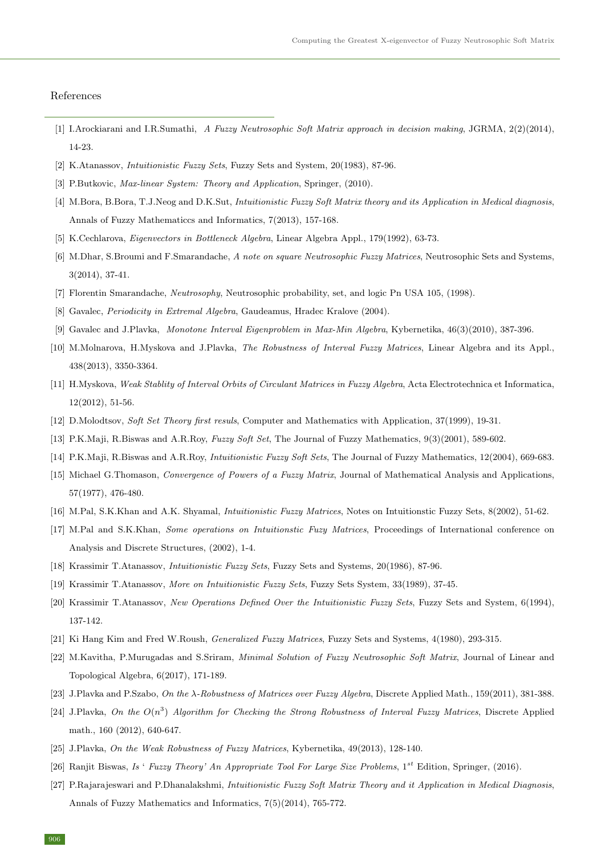#### References

- <span id="page-13-14"></span>[1] I.Arockiarani and I.R.Sumathi, A Fuzzy Neutrosophic Soft Matrix approach in decision making, JGRMA, 2(2)(2014), 14-23.
- <span id="page-13-8"></span><span id="page-13-1"></span>[2] K.Atanassov, Intuitionistic Fuzzy Sets, Fuzzy Sets and System, 20(1983), 87-96.
- <span id="page-13-13"></span>[3] P.Butkovic, Max-linear System: Theory and Application, Springer, (2010).
- [4] M.Bora, B.Bora, T.J.Neog and D.K.Sut, Intuitionistic Fuzzy Soft Matrix theory and its Application in Medical diagnosis, Annals of Fuzzy Mathematiccs and Informatics, 7(2013), 157-168.
- <span id="page-13-15"></span>[5] K.Cechlarova, Eigenvectors in Bottleneck Algebra, Linear Algebra Appl., 179(1992), 63-73.
- [6] M.Dhar, S.Broumi and F.Smarandache, A note on square Neutrosophic Fuzzy Matrices, Neutrosophic Sets and Systems, 3(2014), 37-41.
- [7] Florentin Smarandache, Neutrosophy, Neutrosophic probability, set, and logic Pn USA 105, (1998).
- [8] Gavalec, Periodicity in Extremal Algebra, Gaudeamus, Hradec Kralove (2004).
- [9] Gavalec and J.Plavka, Monotone Interval Eigenproblem in Max-Min Algebra, Kybernetika, 46(3)(2010), 387-396.
- [10] M.Molnarova, H.Myskova and J.Plavka, The Robustness of Interval Fuzzy Matrices, Linear Algebra and its Appl., 438(2013), 3350-3364.
- [11] H.Myskova, Weak Stablity of Interval Orbits of Circulant Matrices in Fuzzy Algebra, Acta Electrotechnica et Informatica, 12(2012), 51-56.
- <span id="page-13-6"></span><span id="page-13-5"></span>[12] D.Molodtsov, Soft Set Theory first resuls, Computer and Mathematics with Application, 37(1999), 19-31.
- <span id="page-13-7"></span>[13] P.K.Maji, R.Biswas and A.R.Roy, Fuzzy Soft Set, The Journal of Fuzzy Mathematics, 9(3)(2001), 589-602.
- <span id="page-13-10"></span>[14] P.K.Maji, R.Biswas and A.R.Roy, Intuitionistic Fuzzy Soft Sets, The Journal of Fuzzy Mathematics, 12(2004), 669-683.
- [15] Michael G.Thomason, Convergence of Powers of a Fuzzy Matrix, Journal of Mathematical Analysis and Applications, 57(1977), 476-480.
- <span id="page-13-12"></span><span id="page-13-11"></span>[16] M.Pal, S.K.Khan and A.K. Shyamal, Intuitionistic Fuzzy Matrices, Notes on Intuitionstic Fuzzy Sets, 8(2002), 51-62.
- [17] M.Pal and S.K.Khan, *Some operations on Intuitionstic Fuzy Matrices*, Proceedings of International conference on Analysis and Discrete Structures, (2002), 1-4.
- <span id="page-13-3"></span><span id="page-13-2"></span>[18] Krassimir T.Atanassov, Intuitionistic Fuzzy Sets, Fuzzy Sets and Systems, 20(1986), 87-96.
- <span id="page-13-4"></span>[19] Krassimir T.Atanassov, More on Intuitionistic Fuzzy Sets, Fuzzy Sets System, 33(1989), 37-45.
- [20] Krassimir T.Atanassov, New Operations Defined Over the Intuitionistic Fuzzy Sets, Fuzzy Sets and System, 6(1994), 137-142.
- <span id="page-13-9"></span>[21] Ki Hang Kim and Fred W.Roush, Generalized Fuzzy Matrices, Fuzzy Sets and Systems, 4(1980), 293-315.
- [22] M.Kavitha, P.Murugadas and S.Sriram, Minimal Solution of Fuzzy Neutrosophic Soft Matrix, Journal of Linear and Topological Algebra, 6(2017), 171-189.
- [23] J.Plavka and P.Szabo, On the  $\lambda$ -Robustness of Matrices over Fuzzy Algebra, Discrete Applied Math., 159(2011), 381-388.
- [24] J.Plavka, On the  $O(n^3)$  Algorithm for Checking the Strong Robustness of Interval Fuzzy Matrices, Discrete Applied math., 160 (2012), 640-647.
- <span id="page-13-0"></span>[25] J.Plavka, On the Weak Robustness of Fuzzy Matrices, Kybernetika, 49(2013), 128-140.
- [26] Ranjit Biswas, Is ' Fuzzy Theory' An Appropriate Tool For Large Size Problems,  $1^{st}$  Edition, Springer, (2016).
- [27] P.Rajarajeswari and P.Dhanalakshmi, Intuitionistic Fuzzy Soft Matrix Theory and it Application in Medical Diagnosis, Annals of Fuzzy Mathematics and Informatics, 7(5)(2014), 765-772.